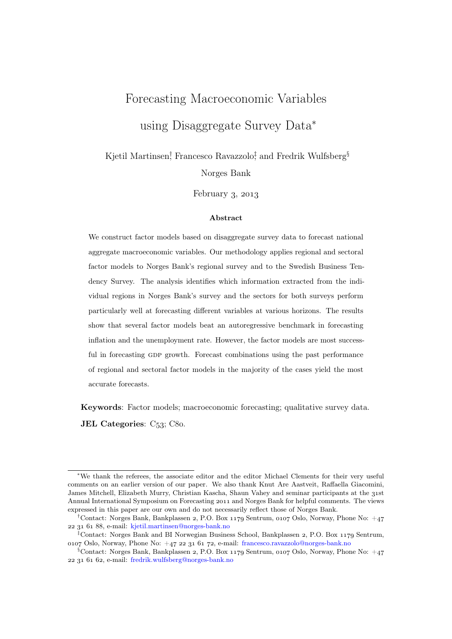# Forecasting Macroeconomic Variables using Disaggregate Survey Data<sup>∗</sup>

Kjetil Martinsen<sup>†</sup>, Francesco Ravazzolo<sup>†</sup>, and Fredrik Wulfsberg<sup>§</sup> Norges Bank

February  $3, 2013$ 

#### Abstract

We construct factor models based on disaggregate survey data to forecast national aggregate macroeconomic variables. Our methodology applies regional and sectoral factor models to Norges Bank's regional survey and to the Swedish Business Tendency Survey. The analysis identifies which information extracted from the individual regions in Norges Bank's survey and the sectors for both surveys perform particularly well at forecasting different variables at various horizons. The results show that several factor models beat an autoregressive benchmark in forecasting inflation and the unemployment rate. However, the factor models are most successful in forecasting gdp growth. Forecast combinations using the past performance of regional and sectoral factor models in the majority of the cases yield the most accurate forecasts.

Keywords: Factor models; macroeconomic forecasting; qualitative survey data. JEL Categories:  $C_{53}$ ;  $C_{80}$ .

<sup>∗</sup>We thank the referees, the associate editor and the editor Michael Clements for their very useful comments on an earlier version of our paper. We also thank Knut Are Aastveit, Raffaella Giacomini, James Mitchell, Elizabeth Murry, Christian Kascha, Shaun Vahey and seminar participants at the 31st Annual International Symposium on Forecasting 2011 and Norges Bank for helpful comments. The views expressed in this paper are our own and do not necessarily reflect those of Norges Bank.

<sup>&</sup>lt;sup>†</sup>Contact: Norges Bank, Bankplassen 2, P.O. Box 1179 Sentrum, 0107 Oslo, Norway, Phone No:  $+47$ , e-mail: kjetil.martinsen@norges-bank.no

<sup>&</sup>lt;sup>‡</sup>Contact: Norges Bank and BI Norwegian Business School, Bankplassen 2, P.O. Box 1179 Sentrum, 0107 Oslo, Norway, Phone No:  $+47$  22 31 61 72, e-mail: francesco.ravazzolo@norges-bank.no

 $\S$ Contact: Norges Bank, Bankplassen 2, P.O. Box 1179 Sentrum, 0107 Oslo, Norway, Phone No:  $+47$ , e-mail: fredrik.wulfsberg@norges-bank.no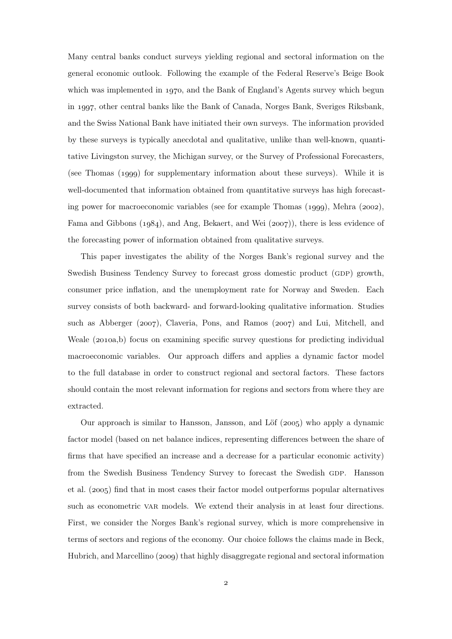Many central banks conduct surveys yielding regional and sectoral information on the general economic outlook. Following the example of the Federal Reserve's Beige Book which was implemented in  $1970$ , and the Bank of England's Agents survey which begun in 1997, other central banks like the Bank of Canada, Norges Bank, Sveriges Riksbank, and the Swiss National Bank have initiated their own surveys. The information provided by these surveys is typically anecdotal and qualitative, unlike than well-known, quantitative Livingston survey, the Michigan survey, or the Survey of Professional Forecasters, (see Thomas  $(1999)$  for supplementary information about these surveys). While it is well-documented that information obtained from quantitative surveys has high forecasting power for macroeconomic variables (see for example Thomas  $(1999)$ , Mehra  $(2002)$ , Fama and Gibbons  $(1984)$ , and Ang, Bekaert, and Wei  $(2007)$ , there is less evidence of the forecasting power of information obtained from qualitative surveys.

This paper investigates the ability of the Norges Bank's regional survey and the Swedish Business Tendency Survey to forecast gross domestic product (GDP) growth, consumer price inflation, and the unemployment rate for Norway and Sweden. Each survey consists of both backward- and forward-looking qualitative information. Studies such as Abberger ( $2007$ ), Claveria, Pons, and Ramos ( $2007$ ) and Lui, Mitchell, and Weale (2010a,b) focus on examining specific survey questions for predicting individual macroeconomic variables. Our approach differs and applies a dynamic factor model to the full database in order to construct regional and sectoral factors. These factors should contain the most relevant information for regions and sectors from where they are extracted.

Our approach is similar to Hansson, Jansson, and Löf  $(2005)$  who apply a dynamic factor model (based on net balance indices, representing differences between the share of firms that have specified an increase and a decrease for a particular economic activity) from the Swedish Business Tendency Survey to forecast the Swedish GDP. Hansson et al. (2005) find that in most cases their factor model outperforms popular alternatives such as econometric var models. We extend their analysis in at least four directions. First, we consider the Norges Bank's regional survey, which is more comprehensive in terms of sectors and regions of the economy. Our choice follows the claims made in Beck, Hubrich, and Marcellino (2009) that highly disaggregate regional and sectoral information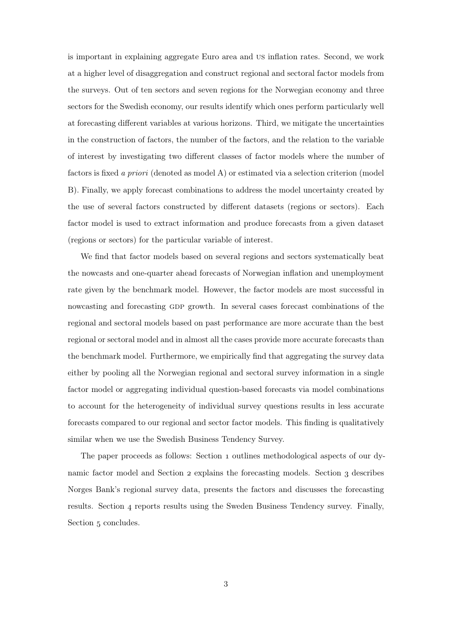is important in explaining aggregate Euro area and us inflation rates. Second, we work at a higher level of disaggregation and construct regional and sectoral factor models from the surveys. Out of ten sectors and seven regions for the Norwegian economy and three sectors for the Swedish economy, our results identify which ones perform particularly well at forecasting different variables at various horizons. Third, we mitigate the uncertainties in the construction of factors, the number of the factors, and the relation to the variable of interest by investigating two different classes of factor models where the number of factors is fixed a priori (denoted as model A) or estimated via a selection criterion (model B). Finally, we apply forecast combinations to address the model uncertainty created by the use of several factors constructed by different datasets (regions or sectors). Each factor model is used to extract information and produce forecasts from a given dataset (regions or sectors) for the particular variable of interest.

We find that factor models based on several regions and sectors systematically beat the nowcasts and one-quarter ahead forecasts of Norwegian inflation and unemployment rate given by the benchmark model. However, the factor models are most successful in nowcasting and forecasting GDP growth. In several cases forecast combinations of the regional and sectoral models based on past performance are more accurate than the best regional or sectoral model and in almost all the cases provide more accurate forecasts than the benchmark model. Furthermore, we empirically find that aggregating the survey data either by pooling all the Norwegian regional and sectoral survey information in a single factor model or aggregating individual question-based forecasts via model combinations to account for the heterogeneity of individual survey questions results in less accurate forecasts compared to our regional and sector factor models. This finding is qualitatively similar when we use the Swedish Business Tendency Survey.

The paper proceeds as follows: Section 1 outlines methodological aspects of our dynamic factor model and Section 2 explains the forecasting models. Section 3 describes Norges Bank's regional survey data, presents the factors and discusses the forecasting results. Section  $\mu$  reports results using the Sweden Business Tendency survey. Finally, Section 5 concludes.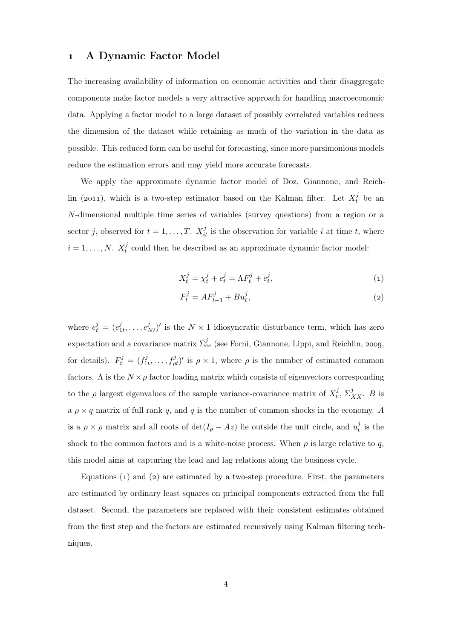### A Dynamic Factor Model

The increasing availability of information on economic activities and their disaggregate components make factor models a very attractive approach for handling macroeconomic data. Applying a factor model to a large dataset of possibly correlated variables reduces the dimension of the dataset while retaining as much of the variation in the data as possible. This reduced form can be useful for forecasting, since more parsimonious models reduce the estimation errors and may yield more accurate forecasts.

We apply the approximate dynamic factor model of Doz, Giannone, and Reichlin (2011), which is a two-step estimator based on the Kalman filter. Let  $X_t^j$  be an N-dimensional multiple time series of variables (survey questions) from a region or a sector j, observed for  $t = 1, ..., T$ .  $X_{it}^{j}$  is the observation for variable i at time t, where  $i=1,\ldots,N$ .  $X_t^j$  $t<sub>t</sub><sup>j</sup>$  could then be described as an approximate dynamic factor model:

$$
X_t^j = \chi_t^j + e_t^j = \Lambda F_t^j + e_t^j,\tag{1}
$$

$$
F_t^j = AF_{t-1}^j + Bu_t^j,\t\t(2)
$$

where  $e_t^j = (e_1^j)$  $(e_1^j, \ldots, e_N^j)^t$  is the  $N \times 1$  idiosyncratic disturbance term, which has zero expectation and a covariance matrix  $\Sigma_{ee}^j$  (see Forni, Giannone, Lippi, and Reichlin, 2009, for details).  $F_t^j = (f_1^j)$  $\hat{f}_{1t}^j, \ldots, \hat{f}_{pt}^j$ ' is  $\rho \times 1$ , where  $\rho$  is the number of estimated common factors. A is the  $N \times \rho$  factor loading matrix which consists of eigenvectors corresponding to the  $\rho$  largest eigenvalues of the sample variance-covariance matrix of  $X_t^j$  $t^j$ ,  $\Sigma^j_{XX}$ . *B* is a  $\rho \times q$  matrix of full rank q, and q is the number of common shocks in the economy. A is a  $\rho \times \rho$  matrix and all roots of  $\det(I_{\rho} - Az)$  lie outside the unit circle, and  $u_t^j$  $\frac{\jmath}{t}$  is the shock to the common factors and is a white-noise process. When  $\rho$  is large relative to q, this model aims at capturing the lead and lag relations along the business cycle.

Equations  $(1)$  and  $(2)$  are estimated by a two-step procedure. First, the parameters are estimated by ordinary least squares on principal components extracted from the full dataset. Second, the parameters are replaced with their consistent estimates obtained from the first step and the factors are estimated recursively using Kalman filtering techniques.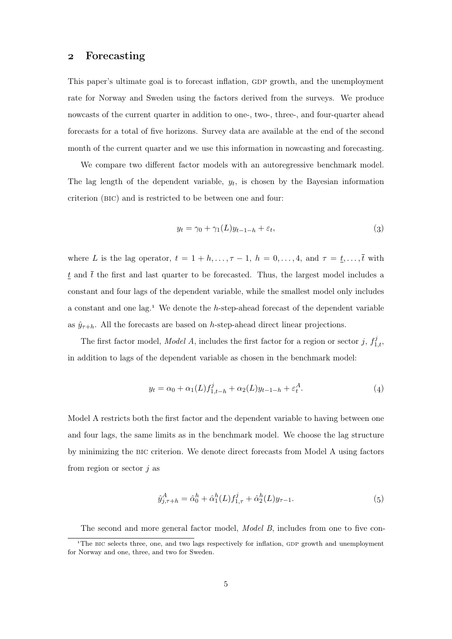## Forecasting

This paper's ultimate goal is to forecast inflation, GDP growth, and the unemployment rate for Norway and Sweden using the factors derived from the surveys. We produce nowcasts of the current quarter in addition to one-, two-, three-, and four-quarter ahead forecasts for a total of five horizons. Survey data are available at the end of the second month of the current quarter and we use this information in nowcasting and forecasting.

We compare two different factor models with an autoregressive benchmark model. The lag length of the dependent variable,  $y_t$ , is chosen by the Bayesian information criterion (bic) and is restricted to be between one and four:

$$
y_t = \gamma_0 + \gamma_1(L)y_{t-1-h} + \varepsilon_t,\tag{3}
$$

where L is the lag operator,  $t = 1 + h, \ldots, \tau - 1$ ,  $h = 0, \ldots, 4$ , and  $\tau = \underline{t}, \ldots, \overline{t}$  with  $t$  and  $\bar{t}$  the first and last quarter to be forecasted. Thus, the largest model includes a constant and four lags of the dependent variable, while the smallest model only includes a constant and one lag.<sup>1</sup> We denote the  $h$ -step-ahead forecast of the dependent variable as  $\hat{y}_{\tau+h}$ . All the forecasts are based on h-step-ahead direct linear projections.

The first factor model, *Model A*, includes the first factor for a region or sector j,  $f_{1,t}^j$ , in addition to lags of the dependent variable as chosen in the benchmark model:

$$
y_t = \alpha_0 + \alpha_1(L) f_{1,t-h}^j + \alpha_2(L) y_{t-1-h} + \varepsilon_t^A.
$$
 (4)

Model A restricts both the first factor and the dependent variable to having between one and four lags, the same limits as in the benchmark model. We choose the lag structure by minimizing the bic criterion. We denote direct forecasts from Model A using factors from region or sector  $j$  as

$$
\hat{y}_{j,\tau+h}^A = \hat{\alpha}_0^h + \hat{\alpha}_1^h(L)f_{1,\tau}^j + \hat{\alpha}_2^h(L)y_{\tau-1}.
$$
\n(5)

The second and more general factor model, *Model B*, includes from one to five con-

<sup>&</sup>lt;sup>1</sup>The BIC selects three, one, and two lags respectively for inflation, GDP growth and unemployment for Norway and one, three, and two for Sweden.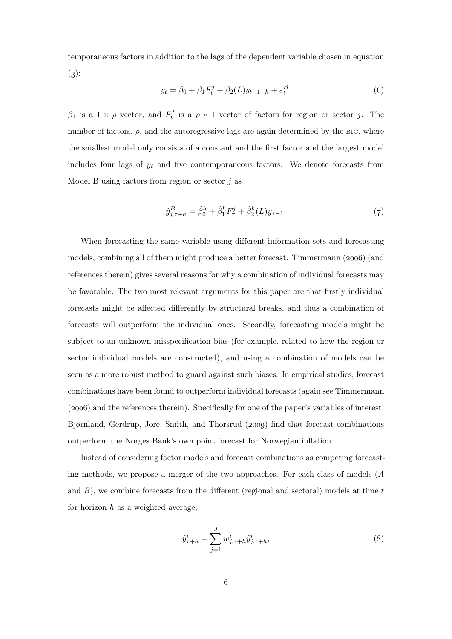temporaneous factors in addition to the lags of the dependent variable chosen in equation  $(3)$ :

$$
y_t = \beta_0 + \beta_1 F_t^j + \beta_2(L) y_{t-1-h} + \varepsilon_t^B.
$$
 (6)

 $\beta_1$  is a  $1 \times \rho$  vector, and  $F_t^j$  $t_i^j$  is a  $\rho \times 1$  vector of factors for region or sector j. The number of factors,  $\rho$ , and the autoregressive lags are again determined by the BIC, where the smallest model only consists of a constant and the first factor and the largest model includes four lags of  $y_t$  and five contemporaneous factors. We denote forecasts from Model B using factors from region or sector  $j$  as

$$
\hat{y}_{j,\tau+h}^B = \hat{\beta}_0^h + \hat{\beta}_1^h F_\tau^j + \hat{\beta}_2^h(L) y_{\tau-1}.
$$
\n(7)

When forecasting the same variable using different information sets and forecasting models, combining all of them might produce a better forecast. Timmermann  $(2006)$  (and references therein) gives several reasons for why a combination of individual forecasts may be favorable. The two most relevant arguments for this paper are that firstly individual forecasts might be affected differently by structural breaks, and thus a combination of forecasts will outperform the individual ones. Secondly, forecasting models might be subject to an unknown misspecification bias (for example, related to how the region or sector individual models are constructed), and using a combination of models can be seen as a more robust method to guard against such biases. In empirical studies, forecast combinations have been found to outperform individual forecasts (again see Timmermann (2006) and the references therein). Specifically for one of the paper's variables of interest, Bjørnland, Gerdrup, Jore, Smith, and Thorsrud (2009) find that forecast combinations outperform the Norges Bank's own point forecast for Norwegian inflation.

Instead of considering factor models and forecast combinations as competing forecasting methods, we propose a merger of the two approaches. For each class of models (A and  $B$ ), we combine forecasts from the different (regional and sectoral) models at time  $t$ for horizon  $h$  as a weighted average,

$$
\tilde{y}_{\tau+h}^i = \sum_{j=1}^J w_{j,\tau+h}^i \hat{y}_{j,\tau+h}^i,\tag{8}
$$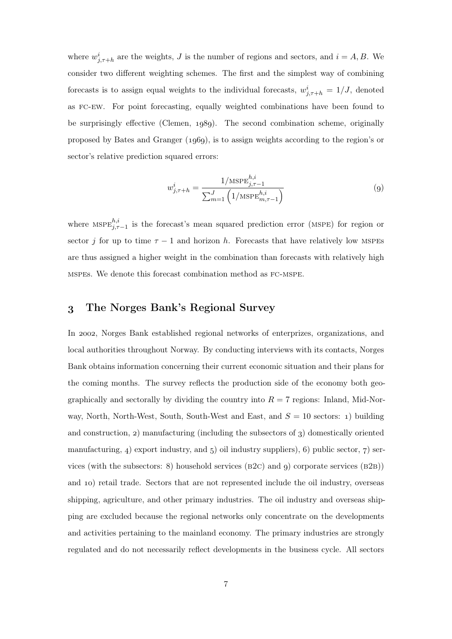where  $w_{j,\tau+h}^{i}$  are the weights, J is the number of regions and sectors, and  $i = A, B$ . We consider two different weighting schemes. The first and the simplest way of combining forecasts is to assign equal weights to the individual forecasts,  $w_{j,\tau+h}^i = 1/J$ , denoted as fc-ew. For point forecasting, equally weighted combinations have been found to be surprisingly effective (Clemen,  $1989$ ). The second combination scheme, originally proposed by Bates and Granger  $(1060)$ , is to assign weights according to the region's or sector's relative prediction squared errors:

$$
w_{j,\tau+h}^{i} = \frac{1/\text{MSPE}_{j,\tau-1}^{h,i}}{\sum_{m=1}^{J} \left(1/\text{MSPE}_{m,\tau-1}^{h,i}\right)}
$$
(9)

where  $MSPE^{h,i}_{j,\tau-1}$  is the forecast's mean squared prediction error (MSPE) for region or sector j for up to time  $\tau - 1$  and horizon h. Forecasts that have relatively low MSPEs are thus assigned a higher weight in the combination than forecasts with relatively high mspes. We denote this forecast combination method as fc-mspe.

## The Norges Bank's Regional Survey

In 2002, Norges Bank established regional networks of enterprizes, organizations, and local authorities throughout Norway. By conducting interviews with its contacts, Norges Bank obtains information concerning their current economic situation and their plans for the coming months. The survey reflects the production side of the economy both geographically and sectorally by dividing the country into  $R = 7$  regions: Inland, Mid-Norway, North, North-West, South, South-West and East, and  $S = 10$  sectors: 1) building and construction,  $2$ ) manufacturing (including the subsectors of  $3$ ) domestically oriented manufacturing,  $\alpha$  export industry, and  $\beta$  oil industry suppliers),  $\beta$  public sector,  $\gamma$  services (with the subsectors: 8) household services ( $B2C$ ) and 9) corporate services ( $B2B$ )) and 10) retail trade. Sectors that are not represented include the oil industry, overseas shipping, agriculture, and other primary industries. The oil industry and overseas shipping are excluded because the regional networks only concentrate on the developments and activities pertaining to the mainland economy. The primary industries are strongly regulated and do not necessarily reflect developments in the business cycle. All sectors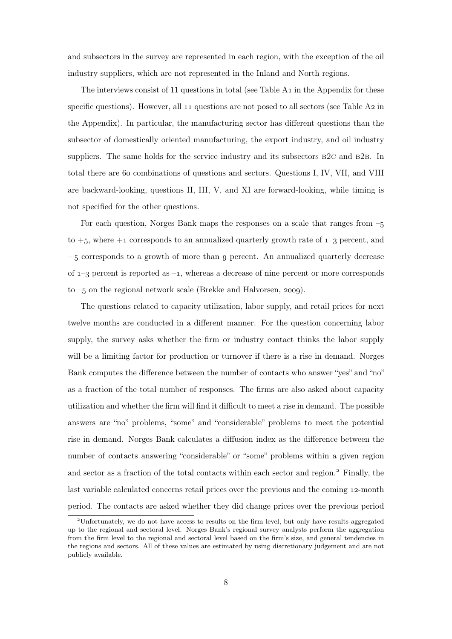and subsectors in the survey are represented in each region, with the exception of the oil industry suppliers, which are not represented in the Inland and North regions.

The interviews consist of 11 questions in total (see Table A<sub>1</sub> in the Appendix for these specific questions). However, all  $11$  questions are not posed to all sectors (see Table A $2$  in the Appendix). In particular, the manufacturing sector has different questions than the subsector of domestically oriented manufacturing, the export industry, and oil industry suppliers. The same holds for the service industry and its subsectors  $B2C$  and  $B2B$ . In total there are 60 combinations of questions and sectors. Questions I, IV, VII, and VIII are backward-looking, questions II, III, V, and XI are forward-looking, while timing is not specified for the other questions.

For each question, Norges Bank maps the responses on a scale that ranges from – to  $+5$ , where  $+1$  corresponds to an annualized quarterly growth rate of  $1-3$  percent, and  $+5$  corresponds to a growth of more than 9 percent. An annualized quarterly decrease of  $1-3$  percent is reported as  $-1$ , whereas a decrease of nine percent or more corresponds to  $-5$  on the regional network scale (Brekke and Halvorsen, 2009).

The questions related to capacity utilization, labor supply, and retail prices for next twelve months are conducted in a different manner. For the question concerning labor supply, the survey asks whether the firm or industry contact thinks the labor supply will be a limiting factor for production or turnover if there is a rise in demand. Norges Bank computes the difference between the number of contacts who answer "yes" and "no" as a fraction of the total number of responses. The firms are also asked about capacity utilization and whether the firm will find it difficult to meet a rise in demand. The possible answers are "no" problems, "some" and "considerable" problems to meet the potential rise in demand. Norges Bank calculates a diffusion index as the difference between the number of contacts answering "considerable" or "some" problems within a given region and sector as a fraction of the total contacts within each sector and region.<sup>2</sup> Finally, the last variable calculated concerns retail prices over the previous and the coming 12-month period. The contacts are asked whether they did change prices over the previous period

Unfortunately, we do not have access to results on the firm level, but only have results aggregated up to the regional and sectoral level. Norges Bank's regional survey analysts perform the aggregation from the firm level to the regional and sectoral level based on the firm's size, and general tendencies in the regions and sectors. All of these values are estimated by using discretionary judgement and are not publicly available.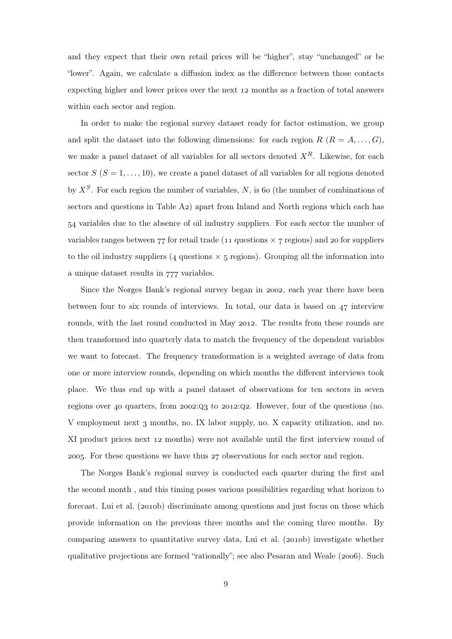and they expect that their own retail prices will be "higher", stay "unchanged" or be "lower". Again, we calculate a diffusion index as the difference between those contacts expecting higher and lower prices over the next 12 months as a fraction of total answers within each sector and region.

In order to make the regional survey dataset ready for factor estimation, we group and split the dataset into the following dimensions: for each region  $R$   $(R = A, \ldots, G)$ , we make a panel dataset of all variables for all sectors denoted  $X<sup>R</sup>$ . Likewise, for each sector  $S$  ( $S = 1, \ldots, 10$ ), we create a panel dataset of all variables for all regions denoted by  $X^S$ . For each region the number of variables, N, is 60 (the number of combinations of sectors and questions in Table A2) apart from Inland and North regions which each has variables due to the absence of oil industry suppliers. For each sector the number of variables ranges between  $77$  for retail trade (11 questions  $\times$  7 regions) and 20 for suppliers to the oil industry suppliers (4 questions  $\times$  5 regions). Grouping all the information into a unique dataset results in  $777$  variables.

Since the Norges Bank's regional survey began in 2002, each year there have been between four to six rounds of interviews. In total, our data is based on  $47$  interview rounds, with the last round conducted in May 2012. The results from these rounds are then transformed into quarterly data to match the frequency of the dependent variables we want to forecast. The frequency transformation is a weighted average of data from one or more interview rounds, depending on which months the different interviews took place. We thus end up with a panel dataset of observations for ten sectors in seven regions over 40 quarters, from  $2002:Q_3$  to  $2012:Q_2$ . However, four of the questions (no. V employment next 3 months, no. IX labor supply, no. X capacity utilization, and no. XI product prices next 12 months) were not available until the first interview round of 2005. For these questions we have thus  $27$  observations for each sector and region.

The Norges Bank's regional survey is conducted each quarter during the first and the second month , and this timing poses various possibilities regarding what horizon to forecast. Lui et al.  $(2010b)$  discriminate among questions and just focus on those which provide information on the previous three months and the coming three months. By comparing answers to quantitative survey data, Lui et al. (2010b) investigate whether qualitative projections are formed "rationally"; see also Pesaran and Weale (2006). Such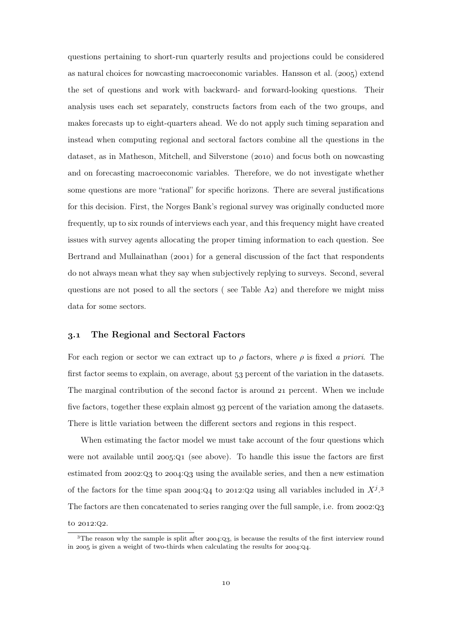questions pertaining to short-run quarterly results and projections could be considered as natural choices for nowcasting macroeconomic variables. Hansson et al.  $(2005)$  extend the set of questions and work with backward- and forward-looking questions. Their analysis uses each set separately, constructs factors from each of the two groups, and makes forecasts up to eight-quarters ahead. We do not apply such timing separation and instead when computing regional and sectoral factors combine all the questions in the dataset, as in Matheson, Mitchell, and Silverstone (2010) and focus both on nowcasting and on forecasting macroeconomic variables. Therefore, we do not investigate whether some questions are more "rational" for specific horizons. There are several justifications for this decision. First, the Norges Bank's regional survey was originally conducted more frequently, up to six rounds of interviews each year, and this frequency might have created issues with survey agents allocating the proper timing information to each question. See Bertrand and Mullainathan  $(2001)$  for a general discussion of the fact that respondents do not always mean what they say when subjectively replying to surveys. Second, several questions are not posed to all the sectors (see Table  $A_2$ ) and therefore we might miss data for some sectors.

#### . The Regional and Sectoral Factors

For each region or sector we can extract up to  $\rho$  factors, where  $\rho$  is fixed a priori. The first factor seems to explain, on average, about 53 percent of the variation in the datasets. The marginal contribution of the second factor is around 21 percent. When we include five factors, together these explain almost 93 percent of the variation among the datasets. There is little variation between the different sectors and regions in this respect.

When estimating the factor model we must take account of the four questions which were not available until  $2005:Q1$  (see above). To handle this issue the factors are first estimated from  $2002:Q_3$  to  $2004:Q_3$  using the available series, and then a new estimation of the factors for the time span 2004:Q4 to 2012:Q2 using all variables included in  $X^j$ .<sup>3</sup> The factors are then concatenated to series ranging over the full sample, i.e. from  $2002:Q_3$ to 2012:Q2.

 $3$ The reason why the sample is split after  $2004:Q_3$ , is because the results of the first interview round in 2005 is given a weight of two-thirds when calculating the results for  $2004:Q4$ .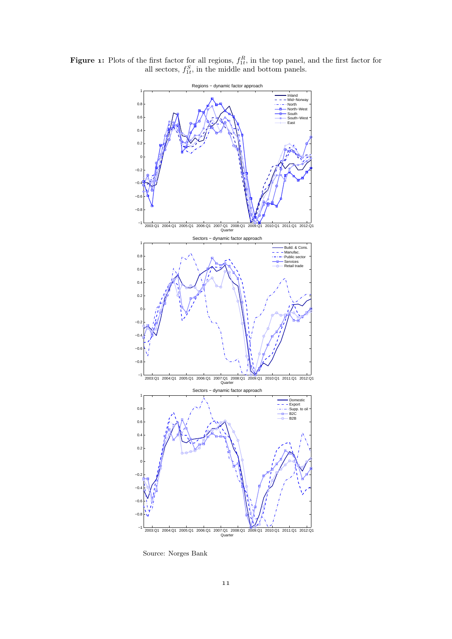**Figure 1:** Plots of the first factor for all regions,  $f_{1t}^R$ , in the top panel, and the first factor for all sectors,  $f_{1t}^S$ , in the middle and bottom panels.



Source: Norges Bank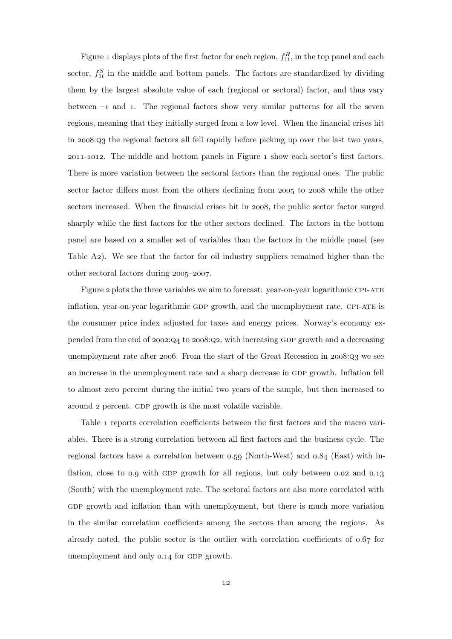Figure 1 displays plots of the first factor for each region,  $f_{1t}^R$ , in the top panel and each sector,  $f_{1t}^S$  in the middle and bottom panels. The factors are standardized by dividing them by the largest absolute value of each (regional or sectoral) factor, and thus vary between  $-1$  and 1. The regional factors show very similar patterns for all the seven regions, meaning that they initially surged from a low level. When the financial crises hit in  $2008:Q_3$  the regional factors all fell rapidly before picking up over the last two years, 2011-1012. The middle and bottom panels in Figure 1 show each sector's first factors. There is more variation between the sectoral factors than the regional ones. The public sector factor differs most from the others declining from 2005 to 2008 while the other sectors increased. When the financial crises hit in 2008, the public sector factor surged sharply while the first factors for the other sectors declined. The factors in the bottom panel are based on a smaller set of variables than the factors in the middle panel (see Table A<sub>2</sub>). We see that the factor for oil industry suppliers remained higher than the other sectoral factors during  $2005-2007$ .

Figure 2 plots the three variables we aim to forecast: year-on-year logarithmic CPI-ATE inflation, year-on-year logarithmic GDP growth, and the unemployment rate. CPI-ATE is the consumer price index adjusted for taxes and energy prices. Norway's economy expended from the end of  $2002:Q_4$  to  $2008:Q_2$ , with increasing GDP growth and a decreasing unemployment rate after 2006. From the start of the Great Recession in  $2008:Q_3$  we see an increase in the unemployment rate and a sharp decrease in GDP growth. Inflation fell to almost zero percent during the initial two years of the sample, but then increased to around 2 percent. GDP growth is the most volatile variable.

Table 1 reports correlation coefficients between the first factors and the macro variables. There is a strong correlation between all first factors and the business cycle. The regional factors have a correlation between  $0.59$  (North-West) and  $0.84$  (East) with inflation, close to  $0.9$  with GDP growth for all regions, but only between  $0.02$  and  $0.13$ (South) with the unemployment rate. The sectoral factors are also more correlated with GDP growth and inflation than with unemployment, but there is much more variation in the similar correlation coefficients among the sectors than among the regions. As already noted, the public sector is the outlier with correlation coefficients of  $0.67$  for unemployment and only 0.14 for GDP growth.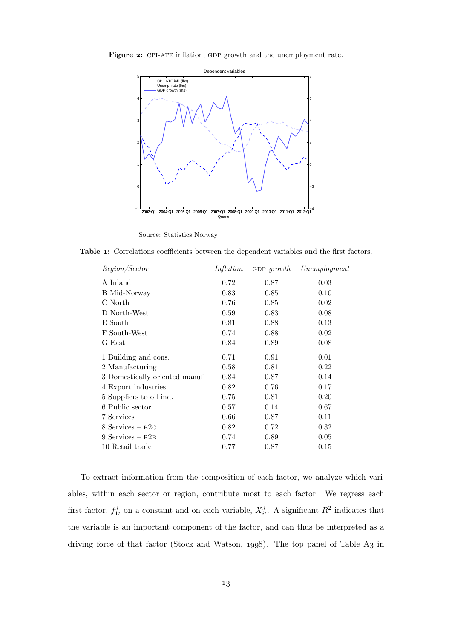

Figure 2: CPI-ATE inflation, GDP growth and the unemployment rate.

Source: Statistics Norway

−1

Table 1: Correlations coefficients between the dependent variables and the first factors.

2003:Q1 2004:Q1 2005:Q1 2006:Q1 2007:Q1 2008:Q1 2009:Q1 2010:Q1 2011:Q1 2012:Q1 −4

Quarter

| Region/Sector                  | Inflation | GDP $growth$ | Unemployment |
|--------------------------------|-----------|--------------|--------------|
| A Inland                       | 0.72      | 0.87         | 0.03         |
| B Mid-Norway                   | 0.83      | 0.85         | 0.10         |
| C North                        | 0.76      | 0.85         | 0.02         |
| D North-West                   | 0.59      | 0.83         | 0.08         |
| E South                        | 0.81      | 0.88         | 0.13         |
| F South-West                   | 0.74      | 0.88         | 0.02         |
| G East                         | 0.84      | 0.89         | 0.08         |
| 1 Building and cons.           | 0.71      | 0.91         | 0.01         |
| 2 Manufacturing                | 0.58      | 0.81         | 0.22         |
| 3 Domestically oriented manuf. | 0.84      | 0.87         | 0.14         |
| 4 Export industries            | 0.82      | 0.76         | 0.17         |
| 5 Suppliers to oil ind.        | 0.75      | 0.81         | 0.20         |
| 6 Public sector                | 0.57      | 0.14         | 0.67         |
| 7 Services                     | 0.66      | 0.87         | 0.11         |
| $8$ Services – $B2C$           | 0.82      | 0.72         | 0.32         |
| $9$ Services – $B2B$           | 0.74      | 0.89         | 0.05         |
| 10 Retail trade                | 0.77      | 0.87         | 0.15         |

To extract information from the composition of each factor, we analyze which variables, within each sector or region, contribute most to each factor. We regress each first factor,  $f_1^j$  $j_t$  on a constant and on each variable,  $X_{it}^j$ . A significant  $R^2$  indicates that the variable is an important component of the factor, and can thus be interpreted as a driving force of that factor (Stock and Watson, 1998). The top panel of Table A3 in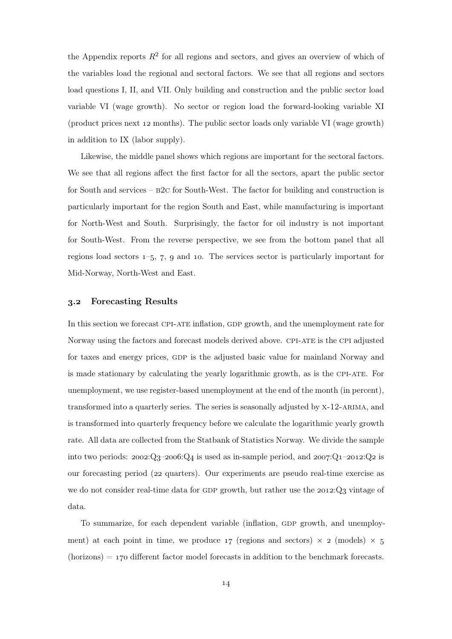the Appendix reports  $R^2$  for all regions and sectors, and gives an overview of which of the variables load the regional and sectoral factors. We see that all regions and sectors load questions I, II, and VII. Only building and construction and the public sector load variable VI (wage growth). No sector or region load the forward-looking variable XI (product prices next  $12$  months). The public sector loads only variable VI (wage growth) in addition to IX (labor supply).

Likewise, the middle panel shows which regions are important for the sectoral factors. We see that all regions affect the first factor for all the sectors, apart the public sector for South and services –  $B2C$  for South-West. The factor for building and construction is particularly important for the region South and East, while manufacturing is important for North-West and South. Surprisingly, the factor for oil industry is not important for South-West. From the reverse perspective, we see from the bottom panel that all regions load sectors  $1-5$ , 7, 9 and 10. The services sector is particularly important for Mid-Norway, North-West and East.

#### . Forecasting Results

In this section we forecast CPI-ATE inflation, GDP growth, and the unemployment rate for Norway using the factors and forecast models derived above. CPI-ATE is the CPI adjusted for taxes and energy prices, GDP is the adjusted basic value for mainland Norway and is made stationary by calculating the yearly logarithmic growth, as is the cpi-ate. For unemployment, we use register-based unemployment at the end of the month (in percent), transformed into a quarterly series. The series is seasonally adjusted by x-12-arima, and is transformed into quarterly frequency before we calculate the logarithmic yearly growth rate. All data are collected from the Statbank of Statistics Norway. We divide the sample into two periods:  $2002:Q_3-2006:Q_4$  is used as in-sample period, and  $2007:Q_1-2012:Q_2$  is our forecasting period (22 quarters). Our experiments are pseudo real-time exercise as we do not consider real-time data for GDP growth, but rather use the  $2012:Q_3$  vintage of data.

To summarize, for each dependent variable (inflation, GDP growth, and unemployment) at each point in time, we produce  $17$  (regions and sectors)  $\times$  2 (models)  $\times$  5  $(horizons) = 170$  different factor model forecasts in addition to the benchmark forecasts.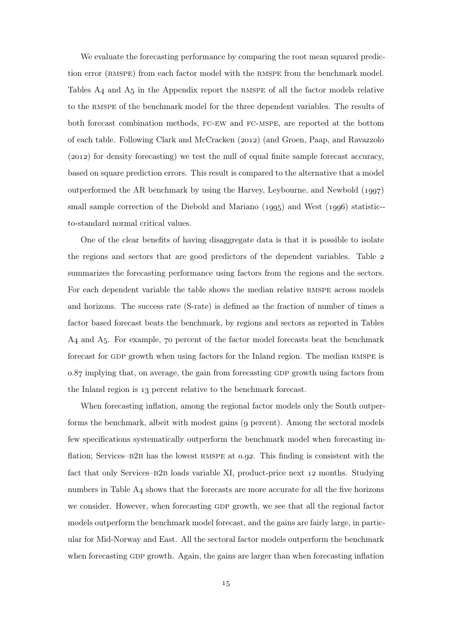We evaluate the forecasting performance by comparing the root mean squared prediction error (RMSPE) from each factor model with the RMSPE from the benchmark model. Tables  $A_4$  and  $A_5$  in the Appendix report the RMSPE of all the factor models relative to the rmspe of the benchmark model for the three dependent variables. The results of both forecast combination methods, fc-ew and fc-mspe, are reported at the bottom of each table. Following Clark and McCracken (2012) (and Groen, Paap, and Ravazzolo  $(2012)$  for density forecasting) we test the null of equal finite sample forecast accuracy, based on square prediction errors. This result is compared to the alternative that a model outperformed the AR benchmark by using the Harvey, Leybourne, and Newbold  $(1997)$ small sample correction of the Diebold and Mariano  $(1995)$  and West  $(1996)$  statistic-to-standard normal critical values.

One of the clear benefits of having disaggregate data is that it is possible to isolate the regions and sectors that are good predictors of the dependent variables. Table summarizes the forecasting performance using factors from the regions and the sectors. For each dependent variable the table shows the median relative RMSPE across models and horizons. The success rate (S-rate) is defined as the fraction of number of times a factor based forecast beats the benchmark, by regions and sectors as reported in Tables  $A_4$  and  $A_5$ . For example,  $70$  percent of the factor model forecasts beat the benchmark forecast for GDP growth when using factors for the Inland region. The median RMSPE is 0.87 implying that, on average, the gain from forecasting GDP growth using factors from the Inland region is 13 percent relative to the benchmark forecast.

When forecasting inflation, among the regional factor models only the South outperforms the benchmark, albeit with modest gains (9 percent). Among the sectoral models few specifications systematically outperform the benchmark model when forecasting inflation; Services– $B2B$  has the lowest RMSPE at 0.92. This finding is consistent with the fact that only Services–B2B loads variable XI, product-price next 12 months. Studying numbers in Table  $A_4$  shows that the forecasts are more accurate for all the five horizons we consider. However, when forecasting GDP growth, we see that all the regional factor models outperform the benchmark model forecast, and the gains are fairly large, in particular for Mid-Norway and East. All the sectoral factor models outperform the benchmark when forecasting GDP growth. Again, the gains are larger than when forecasting inflation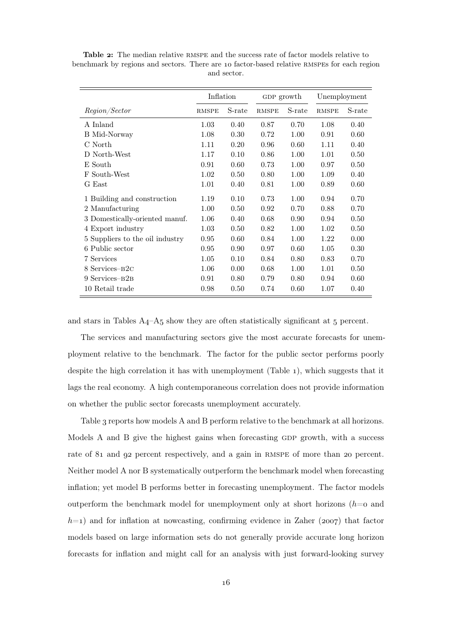|                                 | Inflation    |        | GDP growth   |        | Unemployment |        |
|---------------------------------|--------------|--------|--------------|--------|--------------|--------|
| <i>Region/Sector</i>            | <b>RMSPE</b> | S-rate | <b>RMSPE</b> | S-rate | <b>RMSPE</b> | S-rate |
| A Inland                        | 1.03         | 0.40   | 0.87         | 0.70   | 1.08         | 0.40   |
| B Mid-Norway                    | 1.08         | 0.30   | 0.72         | 1.00   | 0.91         | 0.60   |
| C North                         | 1.11         | 0.20   | 0.96         | 0.60   | 1.11         | 0.40   |
| D North-West                    | 1.17         | 0.10   | 0.86         | 1.00   | 1.01         | 0.50   |
| E South                         | 0.91         | 0.60   | 0.73         | 1.00   | 0.97         | 0.50   |
| F South-West                    | 1.02         | 0.50   | 0.80         | 1.00   | 1.09         | 0.40   |
| G East                          | 1.01         | 0.40   | 0.81         | 1.00   | 0.89         | 0.60   |
| 1 Building and construction     | 1.19         | 0.10   | 0.73         | 1.00   | 0.94         | 0.70   |
| 2 Manufacturing                 | 1.00         | 0.50   | 0.92         | 0.70   | 0.88         | 0.70   |
| 3 Domestically-oriented manuf.  | 1.06         | 0.40   | 0.68         | 0.90   | 0.94         | 0.50   |
| 4 Export industry               | 1.03         | 0.50   | 0.82         | 1.00   | 1.02         | 0.50   |
| 5 Suppliers to the oil industry | 0.95         | 0.60   | 0.84         | 1.00   | 1.22         | 0.00   |
| 6 Public sector                 | 0.95         | 0.90   | 0.97         | 0.60   | 1.05         | 0.30   |
| 7 Services                      | 1.05         | 0.10   | 0.84         | 0.80   | 0.83         | 0.70   |
| 8 Services-B <sub>2C</sub>      | 1.06         | 0.00   | 0.68         | 1.00   | 1.01         | 0.50   |
| 9 Services-B <sub>2B</sub>      | 0.91         | 0.80   | 0.79         | 0.80   | 0.94         | 0.60   |
| 10 Retail trade                 | 0.98         | 0.50   | 0.74         | 0.60   | 1.07         | 0.40   |

Table 2: The median relative RMSPE and the success rate of factor models relative to benchmark by regions and sectors. There are 10 factor-based relative RMSPEs for each region and sector.

and stars in Tables  $A_4$ – $A_5$  show they are often statistically significant at  $5$  percent.

The services and manufacturing sectors give the most accurate forecasts for unemployment relative to the benchmark. The factor for the public sector performs poorly despite the high correlation it has with unemployment (Table  $_1$ ), which suggests that it lags the real economy. A high contemporaneous correlation does not provide information on whether the public sector forecasts unemployment accurately.

Table 3 reports how models A and B perform relative to the benchmark at all horizons. Models A and B give the highest gains when forecasting GDP growth, with a success rate of 81 and 92 percent respectively, and a gain in RMSPE of more than 20 percent. Neither model A nor B systematically outperform the benchmark model when forecasting inflation; yet model B performs better in forecasting unemployment. The factor models outperform the benchmark model for unemployment only at short horizons  $(h=0)$  and  $h=1$ ) and for inflation at nowcasting, confirming evidence in Zaher (2007) that factor models based on large information sets do not generally provide accurate long horizon forecasts for inflation and might call for an analysis with just forward-looking survey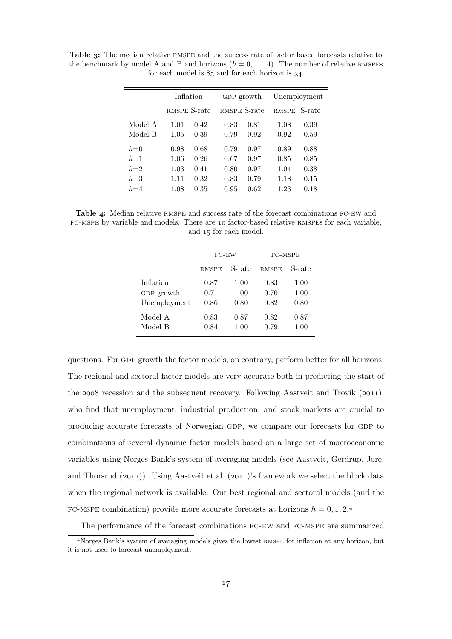|         | Inflation    |      | GDP growth   |      | Unemployment |        |  |
|---------|--------------|------|--------------|------|--------------|--------|--|
|         | RMSPE S-rate |      | RMSPE S-rate |      | <b>RMSPE</b> | S-rate |  |
| Model A | 1.01         | 0.42 | 0.83         | 0.81 | 1.08         | 0.39   |  |
| Model B | 1.05         | 0.39 | 0.79         | 0.92 | 0.92         | 0.59   |  |
| $h=0$   | 0.98         | 0.68 | 0.79         | 0.97 | 0.89         | 0.88   |  |
| $h=1$   | 1.06         | 0.26 | 0.67         | 0.97 | 0.85         | 0.85   |  |
| $h=2$   | 1.03         | 0.41 | 0.80         | 0.97 | 1.04         | 0.38   |  |
| $h=3$   | 1.11         | 0.32 | 0.83         | 0.79 | 1.18         | 0.15   |  |
| $h=4$   | 1.08         | 0.35 | 0.95         | 0.62 | 1.23         | 0.18   |  |

Table 3: The median relative RMSPE and the success rate of factor based forecasts relative to the benchmark by model A and B and horizons  $(h = 0, \ldots, 4)$ . The number of relative RMSPEs for each model is  $85$  and for each horizon is  $34$ .

Table 4: Median relative RMSPE and success rate of the forecast combinations FC-EW and fc-mspe by variable and models. There are factor-based relative rmspes for each variable, and 15 for each model.

|              | $FC$ -EW     |        | FC-MSPE      |        |  |  |
|--------------|--------------|--------|--------------|--------|--|--|
|              | <b>RMSPE</b> | S-rate | <b>RMSPE</b> | S-rate |  |  |
| Inflation    | 0.87         | 1.00   | 0.83         | 1.00   |  |  |
| GDP growth   | 0.71         | 1.00   | 0.70         | 1.00   |  |  |
| Unemployment | 0.86         | 0.80   | 0.82         | 0.80   |  |  |
| Model A      | 0.83         | 0.87   | 0.82         | 0.87   |  |  |
| Model B      | 0.84         | 1.00   | 0.79         | 1.00   |  |  |

questions. For GDP growth the factor models, on contrary, perform better for all horizons. The regional and sectoral factor models are very accurate both in predicting the start of the  $2008$  recession and the subsequent recovery. Following Aastveit and Trovik ( $2011$ ), who find that unemployment, industrial production, and stock markets are crucial to producing accurate forecasts of Norwegian GDP, we compare our forecasts for GDP to combinations of several dynamic factor models based on a large set of macroeconomic variables using Norges Bank's system of averaging models (see Aastveit, Gerdrup, Jore, and Thorsrud  $(2011)$ . Using Aastveit et al.  $(2011)'$ s framework we select the block data when the regional network is available. Our best regional and sectoral models (and the FC-MSPE combination) provide more accurate forecasts at horizons  $h = 0, 1, 2.4$ 

The performance of the forecast combinations fc-ew and fc-mspe are summarized

Norges Bank's system of averaging models gives the lowest rmspe for inflation at any horizon, but it is not used to forecast unemployment.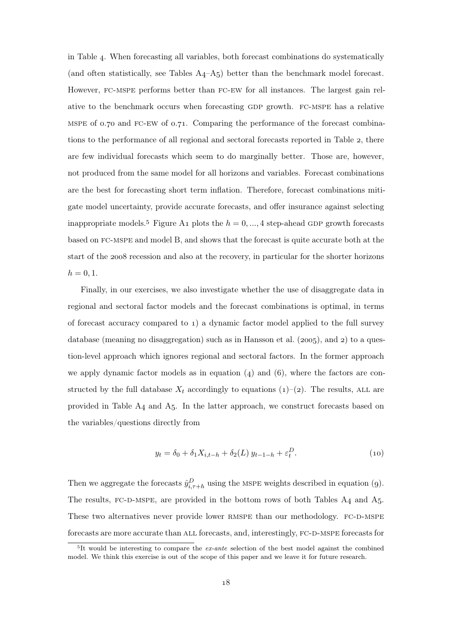in Table 4. When forecasting all variables, both forecast combinations do systematically (and often statistically, see Tables  $A_4 - A_5$ ) better than the benchmark model forecast. However, fc-mspe performs better than fc-ew for all instances. The largest gain relative to the benchmark occurs when forecasting gdp growth. fc-mspe has a relative MSPE of  $0.70$  and FC-EW of  $0.71$ . Comparing the performance of the forecast combinations to the performance of all regional and sectoral forecasts reported in Table 2, there are few individual forecasts which seem to do marginally better. Those are, however, not produced from the same model for all horizons and variables. Forecast combinations are the best for forecasting short term inflation. Therefore, forecast combinations mitigate model uncertainty, provide accurate forecasts, and offer insurance against selecting inappropriate models.<sup>5</sup> Figure A<sub>1</sub> plots the  $h = 0, ..., 4$  step-ahead GDP growth forecasts based on fc-mspe and model B, and shows that the forecast is quite accurate both at the start of the 2008 recession and also at the recovery, in particular for the shorter horizons  $h = 0, 1.$ 

Finally, in our exercises, we also investigate whether the use of disaggregate data in regional and sectoral factor models and the forecast combinations is optimal, in terms of forecast accuracy compared to  $\iota$ ) a dynamic factor model applied to the full survey database (meaning no disaggregation) such as in Hansson et al.  $(2005)$ , and 2) to a question-level approach which ignores regional and sectoral factors. In the former approach we apply dynamic factor models as in equation  $(4)$  and  $(6)$ , where the factors are constructed by the full database  $X_t$  accordingly to equations (1)–(2). The results, ALL are provided in Table  $A_4$  and  $A_5$ . In the latter approach, we construct forecasts based on the variables/questions directly from

$$
y_t = \delta_0 + \delta_1 X_{i,t-h} + \delta_2(L) y_{t-1-h} + \varepsilon_t^D.
$$
 (10)

Then we aggregate the forecasts  $\hat{y}_{i,\tau+h}^D$  using the MSPE weights described in equation (9). The results, FC-D-MSPE, are provided in the bottom rows of both Tables  $A_4$  and  $A_5$ . These two alternatives never provide lower RMSPE than our methodology. FC-D-MSPE forecasts are more accurate than ALL forecasts, and, interestingly, FC-D-MSPE forecasts for

 $5$ It would be interesting to compare the *ex-ante* selection of the best model against the combined model. We think this exercise is out of the scope of this paper and we leave it for future research.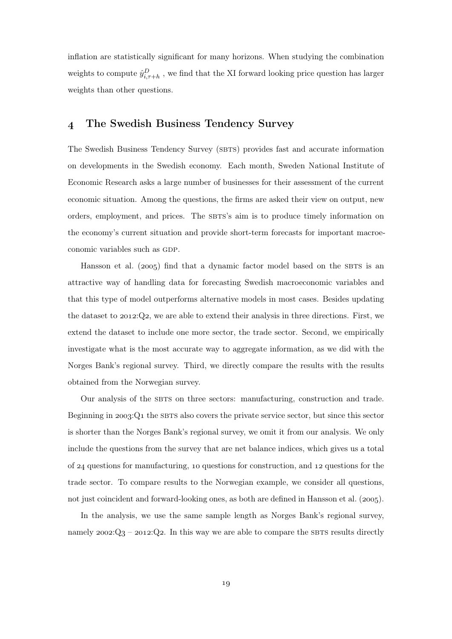inflation are statistically significant for many horizons. When studying the combination weights to compute  $\hat{y}_{i,\tau+h}^D$ , we find that the XI forward looking price question has larger weights than other questions.

## The Swedish Business Tendency Survey

The Swedish Business Tendency Survey (SBTS) provides fast and accurate information on developments in the Swedish economy. Each month, Sweden National Institute of Economic Research asks a large number of businesses for their assessment of the current economic situation. Among the questions, the firms are asked their view on output, new orders, employment, and prices. The SBTS's aim is to produce timely information on the economy's current situation and provide short-term forecasts for important macroeconomic variables such as GDP.

Hansson et al. ( $2005$ ) find that a dynamic factor model based on the SBTS is an attractive way of handling data for forecasting Swedish macroeconomic variables and that this type of model outperforms alternative models in most cases. Besides updating the dataset to  $2012$ ;  $Q_2$ , we are able to extend their analysis in three directions. First, we extend the dataset to include one more sector, the trade sector. Second, we empirically investigate what is the most accurate way to aggregate information, as we did with the Norges Bank's regional survey. Third, we directly compare the results with the results obtained from the Norwegian survey.

Our analysis of the sbts on three sectors: manufacturing, construction and trade. Beginning in  $2003$ : $Q_1$  the SBTS also covers the private service sector, but since this sector is shorter than the Norges Bank's regional survey, we omit it from our analysis. We only include the questions from the survey that are net balance indices, which gives us a total of  $24$  questions for manufacturing, 10 questions for construction, and 12 questions for the trade sector. To compare results to the Norwegian example, we consider all questions, not just coincident and forward-looking ones, as both are defined in Hansson et al.  $(2005)$ .

In the analysis, we use the same sample length as Norges Bank's regional survey, namely  $2002:Q_3 - 2012:Q_2$ . In this way we are able to compare the SBTS results directly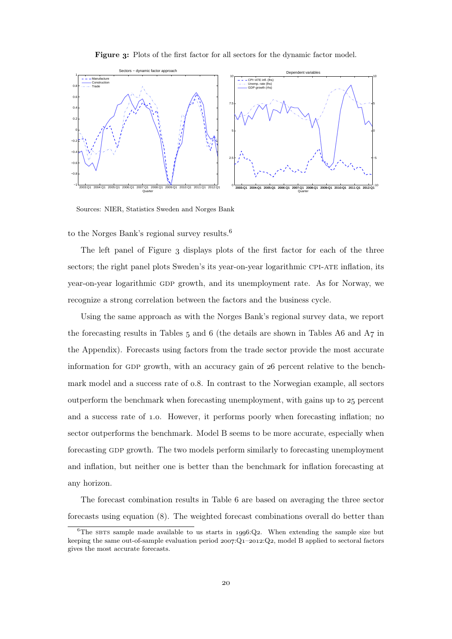



Sources: NIER, Statistics Sweden and Norges Bank

to the Norges Bank's regional survey results.

The left panel of Figure 3 displays plots of the first factor for each of the three sectors; the right panel plots Sweden's its year-on-year logarithmic CPI-ATE inflation, its year-on-year logarithmic gdp growth, and its unemployment rate. As for Norway, we recognize a strong correlation between the factors and the business cycle.

Using the same approach as with the Norges Bank's regional survey data, we report the forecasting results in Tables  $_5$  and  $_6$  (the details are shown in Tables A $_6$  and  $A_7$  in the Appendix). Forecasts using factors from the trade sector provide the most accurate information for GDP growth, with an accuracy gain of  $26$  percent relative to the benchmark model and a success rate of  $0.8$ . In contrast to the Norwegian example, all sectors outperform the benchmark when forecasting unemployment, with gains up to  $25$  percent and a success rate of 1.0. However, it performs poorly when forecasting inflation; no sector outperforms the benchmark. Model B seems to be more accurate, especially when forecasting gdp growth. The two models perform similarly to forecasting unemployment and inflation, but neither one is better than the benchmark for inflation forecasting at any horizon.

The forecast combination results in Table 6 are based on averaging the three sector forecasts using equation  $(8)$ . The weighted forecast combinations overall do better than

<sup>&</sup>lt;sup>6</sup>The sbts sample made available to us starts in 1996:Q2. When extending the sample size but keeping the same out-of-sample evaluation period  $2007:Q_1-2012:Q_2$ , model B applied to sectoral factors gives the most accurate forecasts.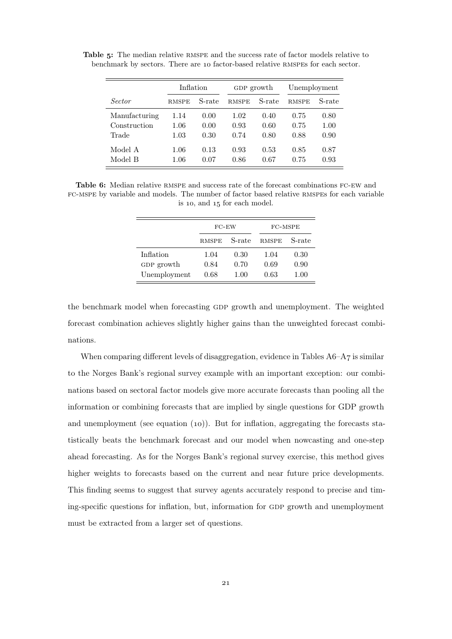|               | Inflation    |        | GDP growth   |        | Unemployment |        |  |
|---------------|--------------|--------|--------------|--------|--------------|--------|--|
| Sector        | <b>RMSPE</b> | S-rate | <b>RMSPE</b> | S-rate | <b>RMSPE</b> | S-rate |  |
| Manufacturing | 1.14         | 0.00   | 1.02         | 0.40   | 0.75         | 0.80   |  |
| Construction  | 1.06         | 0.00   | 0.93         | 0.60   | 0.75         | 1.00   |  |
| Trade         | 1.03         | 0.30   | 0.74         | 0.80   | 0.88         | 0.90   |  |
| Model A       | 1.06         | 0.13   | 0.93         | 0.53   | 0.85         | 0.87   |  |
| Model B       | 1.06         | 0.07   | 0.86         | 0.67   | 0.75         | 0.93   |  |

Table 5: The median relative RMSPE and the success rate of factor models relative to benchmark by sectors. There are 10 factor-based relative RMSPEs for each sector.

Table 6: Median relative RMSPE and success rate of the forecast combinations FC-EW and fc-mspe by variable and models. The number of factor based relative rmspes for each variable is 10, and 15 for each model.

|              | $FC$ -EW     |        | FC-MSPE      |        |  |  |
|--------------|--------------|--------|--------------|--------|--|--|
|              | <b>RMSPE</b> | S-rate | <b>RMSPE</b> | S-rate |  |  |
| Inflation    | 1.04         | 0.30   | 1.04         | 0.30   |  |  |
| GDP growth   | 0.84         | 0.70   | 0.69         | 0.90   |  |  |
| Unemployment | 0.68         | 1.00   | 0.63         | 1.00   |  |  |

the benchmark model when forecasting gdp growth and unemployment. The weighted forecast combination achieves slightly higher gains than the unweighted forecast combinations.

When comparing different levels of disaggregation, evidence in Tables  $A6-A7$  is similar to the Norges Bank's regional survey example with an important exception: our combinations based on sectoral factor models give more accurate forecasts than pooling all the information or combining forecasts that are implied by single questions for GDP growth and unemployment (see equation  $(10)$ ). But for inflation, aggregating the forecasts statistically beats the benchmark forecast and our model when nowcasting and one-step ahead forecasting. As for the Norges Bank's regional survey exercise, this method gives higher weights to forecasts based on the current and near future price developments. This finding seems to suggest that survey agents accurately respond to precise and timing-specific questions for inflation, but, information for GDP growth and unemployment must be extracted from a larger set of questions.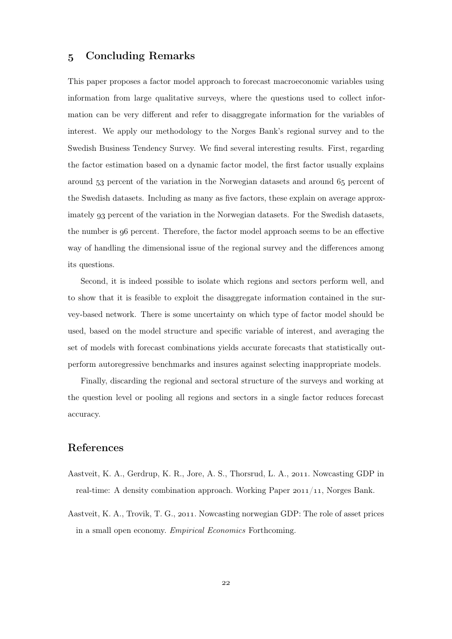## Concluding Remarks

This paper proposes a factor model approach to forecast macroeconomic variables using information from large qualitative surveys, where the questions used to collect information can be very different and refer to disaggregate information for the variables of interest. We apply our methodology to the Norges Bank's regional survey and to the Swedish Business Tendency Survey. We find several interesting results. First, regarding the factor estimation based on a dynamic factor model, the first factor usually explains around 53 percent of the variation in the Norwegian datasets and around 65 percent of the Swedish datasets. Including as many as five factors, these explain on average approximately 93 percent of the variation in the Norwegian datasets. For the Swedish datasets, the number is  $96$  percent. Therefore, the factor model approach seems to be an effective way of handling the dimensional issue of the regional survey and the differences among its questions.

Second, it is indeed possible to isolate which regions and sectors perform well, and to show that it is feasible to exploit the disaggregate information contained in the survey-based network. There is some uncertainty on which type of factor model should be used, based on the model structure and specific variable of interest, and averaging the set of models with forecast combinations yields accurate forecasts that statistically outperform autoregressive benchmarks and insures against selecting inappropriate models.

Finally, discarding the regional and sectoral structure of the surveys and working at the question level or pooling all regions and sectors in a single factor reduces forecast accuracy.

## References

- Aastveit, K. A., Gerdrup, K. R., Jore, A. S., Thorsrud, L. A., 2011. Nowcasting GDP in real-time: A density combination approach. Working Paper  $2011/11$ , Norges Bank.
- Aastveit, K. A., Trovik, T. G., 2011. Nowcasting norwegian GDP: The role of asset prices in a small open economy. Empirical Economics Forthcoming.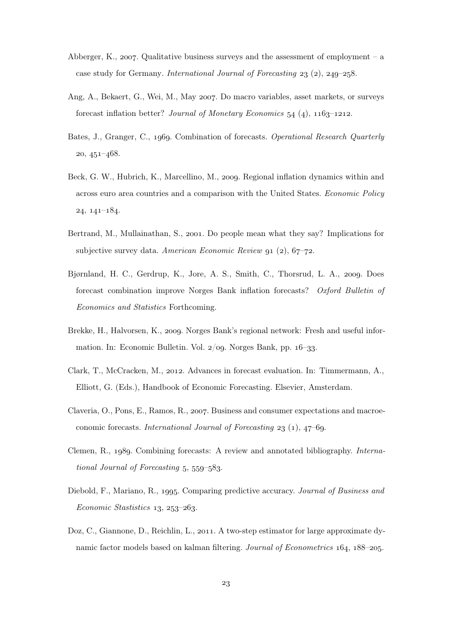- Abberger, K., 2007. Qualitative business surveys and the assessment of employment a case study for Germany. International Journal of Forecasting  $23$  (2),  $249-258$ .
- Ang, A., Bekaert, G., Wei, M., May 2007. Do macro variables, asset markets, or surveys forecast inflation better? Journal of Monetary Economics  $54$  (4),  $1163-1212$ .
- Bates, J., Granger, C., 1969. Combination of forecasts. Operational Research Quarterly  $20, 451 - 468.$
- Beck, G. W., Hubrich, K., Marcellino, M., 2009. Regional inflation dynamics within and across euro area countries and a comparison with the United States. Economic Policy  $24, 141 - 184.$
- Bertrand, M., Mullainathan, S., 2001. Do people mean what they say? Implications for subjective survey data. American Economic Review 91  $(2)$ , 67-72.
- Bjørnland, H. C., Gerdrup, K., Jore, A. S., Smith, C., Thorsrud, L. A., 2009. Does forecast combination improve Norges Bank inflation forecasts? Oxford Bulletin of Economics and Statistics Forthcoming.
- Brekke, H., Halvorsen, K., 2009. Norges Bank's regional network: Fresh and useful information. In: Economic Bulletin. Vol.  $2/\text{og}$ . Norges Bank, pp.  $16-33$ .
- Clark, T., McCracken, M., 2012. Advances in forecast evaluation. In: Timmermann, A., Elliott, G. (Eds.), Handbook of Economic Forecasting. Elsevier, Amsterdam.
- Claveria, O., Pons, E., Ramos, R., 2007. Business and consumer expectations and macroeconomic forecasts. International Journal of Forecasting  $23$  (1), 47–69.
- Clemen, R., 1989. Combining forecasts: A review and annotated bibliography. International Journal of Forecasting  $5, 559-583$ .
- Diebold, F., Mariano, R., 1995. Comparing predictive accuracy. Journal of Business and  $Economic\ Statistics\ 13, \ 253-263.$
- Doz, C., Giannone, D., Reichlin, L., 2011. A two-step estimator for large approximate dynamic factor models based on kalman filtering. Journal of Econometrics  $164$ ,  $188-205$ .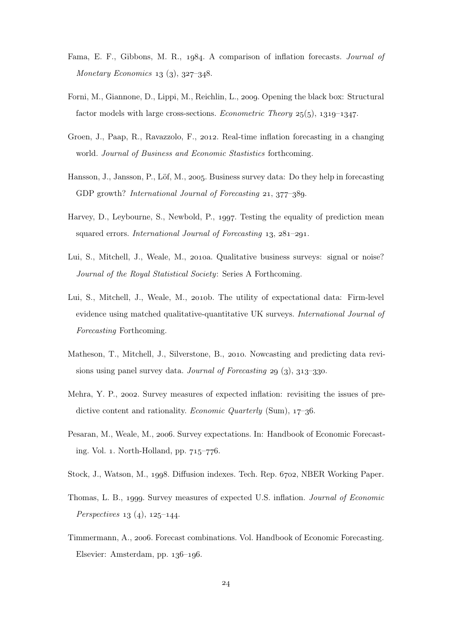- Fama, E. F., Gibbons, M. R., 1984. A comparison of inflation forecasts. *Journal of* Monetary Economics  $13$  (3),  $327-348$ .
- Forni, M., Giannone, D., Lippi, M., Reichlin, L., 2009. Opening the black box: Structural factor models with large cross-sections. Econometric Theory  $25(5)$ ,  $1319-1347$ .
- Groen, J., Paap, R., Ravazzolo, F., 2012. Real-time inflation forecasting in a changing world. Journal of Business and Economic Stastistics forthcoming.
- Hansson, J., Jansson, P., Löf, M., 2005. Business survey data: Do they help in forecasting GDP growth? *International Journal of Forecasting*  $21, 377-389$ .
- Harvey, D., Leybourne, S., Newbold, P., 1997. Testing the equality of prediction mean squared errors. International Journal of Forecasting  $13, 281-291$ .
- Lui, S., Mitchell, J., Weale, M., 2010a. Qualitative business surveys: signal or noise? Journal of the Royal Statistical Society: Series A Forthcoming.
- Lui, S., Mitchell, J., Weale, M., 2010b. The utility of expectational data: Firm-level evidence using matched qualitative-quantitative UK surveys. International Journal of Forecasting Forthcoming.
- Matheson, T., Mitchell, J., Silverstone, B., 2010. Nowcasting and predicting data revisions using panel survey data. Journal of Forecasting 29  $(3)$ , 313-330.
- Mehra, Y. P., 2002. Survey measures of expected inflation: revisiting the issues of predictive content and rationality. Economic Quarterly (Sum),  $17-36$ .
- Pesaran, M., Weale, M., 2006. Survey expectations. In: Handbook of Economic Forecasting. Vol. 1. North-Holland, pp.  $715-776$ .
- Stock, J., Watson, M., 1998. Diffusion indexes. Tech. Rep. 6702, NBER Working Paper.
- Thomas, L. B., 1999. Survey measures of expected U.S. inflation. *Journal of Economic Perspectives*  $13(4)$ ,  $125-144$ .
- Timmermann, A., 2006. Forecast combinations. Vol. Handbook of Economic Forecasting. Elsevier: Amsterdam, pp.  $136-196$ .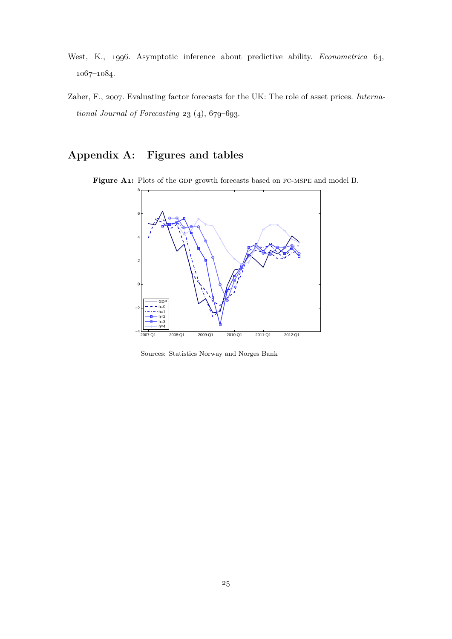- West, K., 1996. Asymptotic inference about predictive ability. *Econometrica* 64,  $1067 - 1084.$
- Zaher, F., 2007. Evaluating factor forecasts for the UK: The role of asset prices. International Journal of Forecasting  $23$  (4),  $679-693$ .

## Appendix A: Figures and tables



Figure A1: Plots of the GDP growth forecasts based on FC-MSPE and model B.

Sources: Statistics Norway and Norges Bank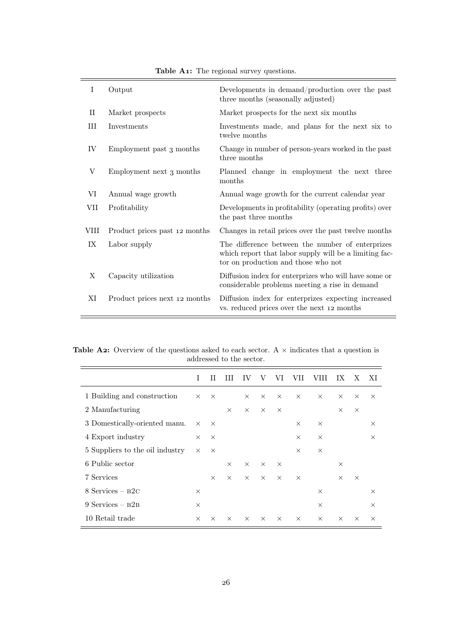| I           | Output                        | Developments in demand/production over the past<br>three months (seasonally adjusted)                                                             |
|-------------|-------------------------------|---------------------------------------------------------------------------------------------------------------------------------------------------|
| $_{\rm II}$ | Market prospects              | Market prospects for the next six months                                                                                                          |
| $\rm III$   | Investments                   | Investments made, and plans for the next six to<br>twelve months                                                                                  |
| IV          | Employment past 3 months      | Change in number of person-years worked in the past<br>three months                                                                               |
| $_{\rm V}$  | Employment next 3 months      | Planned change in employment the next three<br>months                                                                                             |
| VI          | Annual wage growth            | Annual wage growth for the current calendar year                                                                                                  |
| VII         | Profitability                 | Developments in profitability (operating profits) over<br>the past three months                                                                   |
| VIII        | Product prices past 12 months | Changes in retail prices over the past twelve months                                                                                              |
| IX          | Labor supply                  | The difference between the number of enterprizes<br>which report that labor supply will be a limiting fac-<br>tor on production and those who not |
| Χ           | Capacity utilization          | Diffusion index for enterprizes who will have some or<br>considerable problems meeting a rise in demand                                           |
| ΧI          | Product prices next 12 months | Diffusion index for enterprizes expecting increased<br>vs. reduced prices over the next 12 months                                                 |

Table A1: The regional survey questions.

þ

Table A2: Overview of the questions asked to each sector. A  $\times$  indicates that a question is addressed to the sector.

|                                 | T                 | Ш        | Ш        | IV       | V        | VI       | VII      | VIII     | IХ       | X        | XI       |
|---------------------------------|-------------------|----------|----------|----------|----------|----------|----------|----------|----------|----------|----------|
| 1 Building and construction     | $\times$          | $\times$ |          | $\times$ | $\times$ | $\times$ | $\times$ | $\times$ | $\times$ | $\times$ | $\times$ |
| 2 Manufacturing                 |                   |          | $\times$ | $\times$ | $\times$ | $\times$ |          |          | $\times$ | $\times$ |          |
| 3 Domestically-oriented manu.   | $\times$ $\times$ |          |          |          |          |          | $\times$ | $\times$ |          |          | $\times$ |
| 4 Export industry               | $\times$          | $\times$ |          |          |          |          | $\times$ | $\times$ |          |          | $\times$ |
| 5 Suppliers to the oil industry | $\times$          | $\times$ |          |          |          |          | $\times$ | $\times$ |          |          |          |
| 6 Public sector                 |                   |          | $\times$ | $\times$ | $\times$ | $\times$ |          |          | $\times$ |          |          |
| 7 Services                      |                   | $\times$ | $\times$ | $\times$ | $\times$ | $\times$ | $\times$ |          | $\times$ | $\times$ |          |
| $8$ Services – $B2C$            | $\times$          |          |          |          |          |          |          | $\times$ |          |          | $\times$ |
| $9$ Services – $B2B$            | $\times$          |          |          |          |          |          |          | $\times$ |          |          | $\times$ |
| 10 Retail trade                 | $\times$          | $\times$ | $\times$ | $\times$ | $\times$ | $\times$ | $\times$ | $\times$ | $\times$ | $\times$ | $\times$ |
|                                 |                   |          |          |          |          |          |          |          |          |          |          |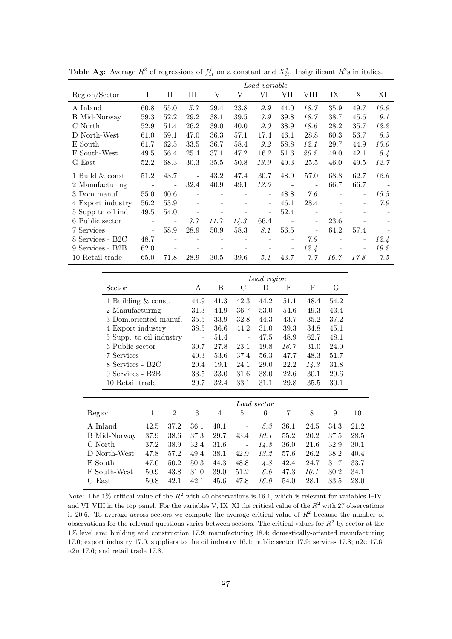|                   | Load variable            |                |      |                          |      |                          |      |                              |      |                          |      |
|-------------------|--------------------------|----------------|------|--------------------------|------|--------------------------|------|------------------------------|------|--------------------------|------|
| Region/Sector     | Ι                        | П              | Ш    | IV                       | V    | VI                       | VII  | VIII                         | IX   | X                        | ΧI   |
| A Inland          | 60.8                     | 55.0           | 5.7  | 29.4                     | 23.8 | 9.9                      | 44.0 | 18.7                         | 35.9 | 49.7                     | 10.9 |
| B Mid-Norway      | 59.3                     | 52.2           | 29.2 | 38.1                     | 39.5 | 7.9                      | 39.8 | 18.7                         | 38.7 | 45.6                     | 9.1  |
| C North           | 52.9                     | 51.4           | 26.2 | 39.0                     | 40.0 | 9.0                      | 38.9 | 18.6                         | 28.2 | 35.7                     | 12.2 |
| D North-West      | 61.0                     | 59.1           | 47.0 | 36.3                     | 57.1 | 17.4                     | 46.1 | 28.8                         | 60.3 | 56.7                     | 8.5  |
| E South           | 61.7                     | 62.5           | 33.5 | 36.7                     | 58.4 | 9.2                      | 58.8 | 12.1                         | 29.7 | 44.9                     | 13.0 |
| F South-West      | 49.5                     | 56.4           | 25.4 | 37.1                     | 47.2 | 16.2                     | 51.6 | 20.2                         | 49.0 | 42.1                     | 8.4  |
| G East            | 52.2                     | 68.3           | 30.3 | 35.5                     | 50.8 | 13.9                     | 49.3 | 25.5                         | 46.0 | 49.5                     | 12.7 |
| 1 Build & const   | 51.2                     | 43.7           |      | 43.2                     | 47.4 | 30.7                     | 48.9 | 57.0                         | 68.8 | 62.7                     | 12.6 |
| 2 Manufacturing   | $\overline{\phantom{a}}$ |                | 32.4 | 40.9                     | 49.1 | 12.6                     |      | $\qquad \qquad \blacksquare$ | 66.7 | 66.7                     |      |
| 3 Dom manuf       | 55.0                     | 60.6           |      | $\overline{\phantom{0}}$ |      | $\overline{\phantom{a}}$ | 48.8 | 7.6                          |      | $\overline{\phantom{0}}$ | 15.5 |
| 4 Export industry | 56.2                     | 53.9           |      |                          |      | $\overline{\phantom{0}}$ | 46.1 | 28.4                         |      | $\overline{\phantom{0}}$ | 7.9  |
| 5 Supp to oil ind | 49.5                     | 54.0           |      |                          |      |                          | 52.4 |                              |      |                          |      |
| 6 Public sector   | $\overline{\phantom{a}}$ | $\blacksquare$ | 7.7  | 11.7                     | 14.3 | 66.4                     |      | $\overline{\phantom{a}}$     | 23.6 |                          |      |
| 7 Services        | $\blacksquare$           | 58.9           | 28.9 | 50.9                     | 58.3 | 8.1                      | 56.5 | $\overline{a}$               | 64.2 | 57.4                     |      |
| 8 Services - B2C  | 48.7                     |                |      |                          |      |                          |      | 7.9                          |      | -                        | 12.4 |
| 9 Services - B2B  | 62.0                     |                |      | $\overline{\phantom{0}}$ |      |                          |      | 12.4                         |      | $\overline{\phantom{a}}$ | 19.2 |
| 10 Retail trade   | 65.0                     | 71.8           | 28.9 | 30.5                     | 39.6 | 5.1                      | 43.7 | 7.7                          | 16.7 | 17.8                     | 7.5  |

**Table A3:** Average  $R^2$  of regressions of  $f_{1t}^j$  on a constant and  $X_{it}^j$ . Insignificant  $R^2$ s in italics.

|                         | Load region              |      |      |      |      |      |      |  |
|-------------------------|--------------------------|------|------|------|------|------|------|--|
| Sector                  | A                        | B    | С    | D    | E    | F    | G    |  |
| 1 Building & const.     | 44.9                     | 41.3 | 42.3 | 44.2 | 51.1 | 48.4 | 54.2 |  |
| 2 Manufacturing         | 31.3                     | 44.9 | 36.7 | 53.0 | 54.6 | 49.3 | 43.4 |  |
| 3 Dom.oriented manuf.   | 35.5                     | 33.9 | 32.8 | 44.3 | 43.7 | 35.2 | 37.2 |  |
| 4 Export industry       | 38.5                     | 36.6 | 44.2 | 31.0 | 39.3 | 34.8 | 45.1 |  |
| 5 Supp. to oil industry | $\overline{\phantom{0}}$ | 51.4 |      | 47.5 | 48.9 | 62.7 | 48.1 |  |
| 6 Public sector         | 30.7                     | 27.8 | 23.1 | 19.8 | 16.7 | 31.0 | 24.0 |  |
| 7 Services              | 40.3                     | 53.6 | 37.4 | 56.3 | 47.7 | 48.3 | 51.7 |  |
| 8 Services - B2C        | 20.4                     | 19.1 | 24.1 | 29.0 | 22.2 | 14.3 | 31.8 |  |
| 9 Services - B2B        | 33.5                     | 33.0 | 31.6 | 38.0 | 22.6 | 30.1 | 29.6 |  |
| 10 Retail trade         | 20.7                     | 32.4 | 33.1 | 31.1 | 29.8 | 35.5 | 30.1 |  |

|              | Load sector |                |      |                |                          |      |      |      |      |      |  |
|--------------|-------------|----------------|------|----------------|--------------------------|------|------|------|------|------|--|
| Region       |             | $\overline{2}$ | 3    | $\overline{4}$ | 5                        | 6    | 7    | 8    | 9    | 10   |  |
| A Inland     | 42.5        | 37.2           | 36.1 | 40.1           | $\overline{\phantom{a}}$ | 5.3  | 36.1 | 24.5 | 34.3 | 21.2 |  |
| B Mid-Norway | 37.9        | 38.6           | 37.3 | 29.7           | 43.4                     | 10.1 | 55.2 | 20.2 | 37.5 | 28.5 |  |
| C North      | 37.2        | 38.9           | 32.4 | 31.6           | $\overline{\phantom{a}}$ | 14.8 | 36.0 | 21.6 | 32.9 | 30.1 |  |
| D North-West | 47.8        | 57.2           | 49.4 | 38.1           | 42.9                     | 13.2 | 57.6 | 26.2 | 38.2 | 40.4 |  |
| E South      | 47.0        | 50.2           | 50.3 | 44.3           | 48.8                     | 4.8  | 42.4 | 24.7 | 31.7 | 33.7 |  |
| F South-West | 50.9        | 43.8           | 31.0 | 39.0           | 51.2                     | 6.6  | 47.3 | 10.1 | 30.2 | 34.1 |  |
| G East       | 50.8        | 42.1           | 42.1 | 45.6           | 47.8                     | 16.0 | 54.0 | 28.1 | 33.5 | 28.0 |  |

Note: The 1% critical value of the  $R^2$  with 40 observations is 16.1, which is relevant for variables I–IV, and VI–VIII in the top panel. For the variables V, IX–XI the critical value of the  $R^2$  with 27 observations is 20.6. To average across sectors we compute the average critical value of  $R^2$  because the number of observations for the relevant questions varies between sectors. The critical values for  $R^2$  by sector at the 1% level are: building and construction 17.9; manufacturing 18.4; domestically-oriented manufacturing 17.0; export industry 17.0, suppliers to the oil industry 16.1; public sector 17.9; services 17.8; b2c 17.6; b2b 17.6; and retail trade 17.8.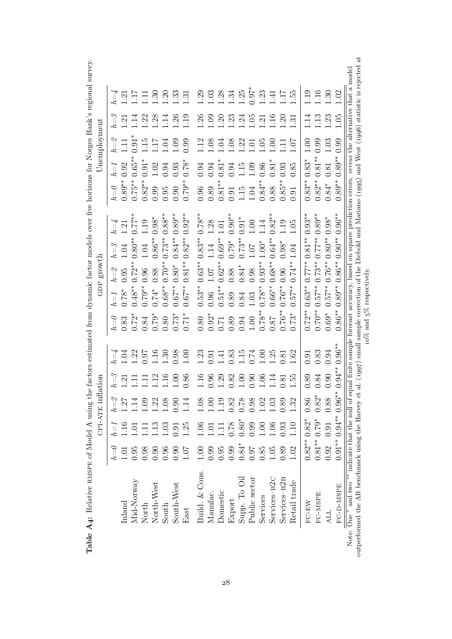| $T = 1$                                                                        |                |
|--------------------------------------------------------------------------------|----------------|
|                                                                                |                |
|                                                                                |                |
| こくさくさ ここ<br>֧֧֧֧֧֧֧֧֧֛֚֓֕֝֬֝֬֝֬֝֬֝֬֝֬֝֓֝֬֝֬֝֬֝֬֝֬֝֬֝֬֝֬֝֬<br>֧֪֛֧֛֛֪֛֪֦֧֚֚֝֩֓֜ |                |
|                                                                                |                |
| ļ                                                                              |                |
|                                                                                |                |
|                                                                                |                |
|                                                                                |                |
| ۔<br>ا<br>$\overline{a}$                                                       |                |
| <b>Section</b>                                                                 |                |
| - C-+++ tech+C U_C U                                                           |                |
| :<br>;<br>;                                                                    |                |
|                                                                                |                |
| j                                                                              |                |
|                                                                                |                |
| こうしょう                                                                          |                |
|                                                                                |                |
|                                                                                |                |
| .<br>.<br>.                                                                    |                |
|                                                                                |                |
|                                                                                |                |
|                                                                                |                |
| <b>Home Shows Contract</b>                                                     |                |
| i                                                                              |                |
| ;<br>;                                                                         |                |
| خ<br>⊓ 10 = 1<br>JH ∃H                                                         |                |
|                                                                                | $\overline{a}$ |
| )                                                                              |                |
|                                                                                |                |
|                                                                                |                |
|                                                                                |                |
|                                                                                |                |
| ׅ֧ׅׅ֧֧֧֧֚֚֚֚֚֚֚֚֚֚֚֚֚֚֚֚֚֚֚֚֚֚֚֚֚֚֡֡֡֡֓֡֓֓֝֓֝֬֝֓<br>$\frac{1}{2}$              |                |
|                                                                                |                |
|                                                                                |                |
|                                                                                |                |
| I                                                                              |                |
| ׇֺ֚֝<br>l<br>l                                                                 |                |
| -<br>-<br>-                                                                    |                |
|                                                                                |                |

|                                                          |          |                                                             | CPI-ATE inf      | ation          |                                                                      |                                |           | GDP growth        |                                |                                               |                  |               | Unemployment        |                      |                                                                                                              |  |
|----------------------------------------------------------|----------|-------------------------------------------------------------|------------------|----------------|----------------------------------------------------------------------|--------------------------------|-----------|-------------------|--------------------------------|-----------------------------------------------|------------------|---------------|---------------------|----------------------|--------------------------------------------------------------------------------------------------------------|--|
|                                                          | $h{=}0$  | $h{=}1$                                                     | $h = 2$          | $h = 3$        |                                                                      | $\ell\!=\!\theta$              | $h = I$   | $h{=}\mathscr{Q}$ | $h = \mathcal{S}$              | $h{=}4$                                       | $h = 0$          | $l = 1$       | $h\!=\!\mathcal{Z}$ | $\ell = \ell$        |                                                                                                              |  |
| Inland                                                   | 1.01     | 1.16                                                        |                  | $\overline{2}$ | Š.                                                                   | 0.83                           | $0.78*$   | 0.95              | 1.04                           | 1.21                                          | $0.89**$         | 0.92          | $\Xi$               | $\ddot{\mathcal{L}}$ | $\overline{21}$                                                                                              |  |
| Mid-Norway                                               | 0.95     | $\overline{0}$ .                                            | 1.14             |                | $\ddot{\mathcal{S}}$                                                 | $0.72*$                        | $0.48***$ | $0.72***$         | $0.80***$                      | $0.77**$                                      | $0.75***$        | $0.65***$     | $0.91*$             | $\cdot$ 14           |                                                                                                              |  |
| North                                                    | 0.98     |                                                             | 1.09             |                | $7.6^{1}C$                                                           | 0.84                           | $0.79**$  | 0.96              | 1.04                           | 1.19                                          | $0.82**$         | $0.91^{\ast}$ | 15                  | .22                  |                                                                                                              |  |
| North-West                                               | 0.90     | 1.13                                                        | 1.22             |                | $\frac{16}{1}$                                                       | $0.79*$                        | $0.74*$   | 0.88              | $0.86***$                      | $0.98*$                                       | 0.99             | 1.02          | 1.17                | 1.28                 | $\mathbb{R}$                                                                                                 |  |
| South                                                    | 0.96     | 1.03                                                        | $1.08\,$         | 1.16           | $\mathbb{S}$                                                         | 0.80                           | $0.68***$ | $0.70**$          | $0.73**$                       | $0.88^{**}$                                   | 0.95             | 0.94          | 1.04                | $\frac{14}{1}$       | $\widetilde{\mathcal{S}}$                                                                                    |  |
| South-West                                               | 0.90     | 0.91                                                        | 0.90             | 00.1           | 0.98                                                                 | $0.73*$                        | $0.67***$ | $0.80*$           | $0.84***$                      | $0.89**$                                      | 0.90             | 0.93          | 1.09                | 1.26                 | $\mathbb{Z}$                                                                                                 |  |
| East                                                     | $1.07\,$ | 1.25                                                        | 1.14             | 0.86           | $\frac{1}{2}$                                                        | $0.71*$                        | $0.67***$ | $0.81**$          | $0.82**$                       | $0.92***$                                     | $0.79**$         | $0.78*$       | 0.99                | 1.19                 | $\ddot{3}$                                                                                                   |  |
| Build. & Cons.                                           | $1.00$   |                                                             | 1.08             | 1.16           | $\ddot{c}$                                                           | 0.80                           | $0.53***$ | $0.63**$          |                                | $0.78**$                                      | 0.96             | 0.94          |                     | 1.26                 | $\overline{03}$                                                                                              |  |
| Manufac.                                                 | 0.99     |                                                             | $1.00\,$         | 0.96           | 0.91                                                                 | $0.92*$                        | 0.96      | $1.07$            | $\phantom{-}0.83^{**}$<br>1.14 | 1.28                                          | $0.89\,$         | 0.94          | 1.12                | 0.09                 |                                                                                                              |  |
| Domestic                                                 | 0.95     | $\begin{array}{c} 1.06 \\ 1.01 \\ 1.11 \\ 0.78 \end{array}$ | 1.19             | 1.29           | $\ddot{=}$                                                           | 0.71                           | $0.51***$ | $0.62**$          | $0.69**$                       | $1.01\,$                                      | $0.81***$        | $0.81*$       | 1.04                | 1.20                 | $1.38$<br>$1.34$                                                                                             |  |
| Export                                                   | 0.99     |                                                             | $0.82$<br>$0.78$ | 0.82           | 0.83                                                                 | 0.89                           | 0.89      | 0.88              | $0.79*$                        | $0.90***$                                     | $0.91$<br>$1.15$ | 0.94          | 1.08                | $\ddot{c}$           |                                                                                                              |  |
| Supp. To Oil                                             | $0.84*$  | $0.80*$                                                     |                  | 1.00           | $\frac{15}{2}$                                                       | 0.94                           | 0.84      | $0.84*$           | $0.73**$                       |                                               |                  | 1.15          | 1.22                | 1.24                 | $1.25$<br>0.97*                                                                                              |  |
| Public sector                                            | 16.0     | 0.99                                                        | 0.98             | 0.90           | 0.74                                                                 | 1.00                           | 1.03      | 0.98              | 1.07                           | $\begin{array}{c} 0.91^* \\ 1.00 \end{array}$ | 1.04             | 0.09          | $\Xi$               | $-05$                |                                                                                                              |  |
| Services                                                 | 0.85     | 1.00                                                        | 1.02             | 1.06           | S                                                                    | $0.78**$                       | $0.78**$  | $0.93**$          | $1.00*$                        | 1.14                                          | $0.84**$         | 0.86          | 1.05                | $\ddot{S}$           | 1.23                                                                                                         |  |
| Services-B <sub>2C</sub>                                 | 1.05     | $1.06\,$                                                    | 1.03             | $\frac{1}{4}$  | 25                                                                   | 18.6                           | $0.66***$ | $0.68***$         | $0.64***$                      | $0.82***$                                     | 0.88             | $0.81*$       | 1.00                | $\frac{16}{1}$       | $\ddot{=}$                                                                                                   |  |
| Services-B <sub>2</sub> B                                | 0.89     | 0.93                                                        | 0.89             | 0.81           | 0.81                                                                 | $0.76***$                      | $0.76***$ | 0.96              | $0.98*$                        | 1.19                                          | $0.85**$         | $\Xi$<br>0.93 |                     | $\overline{0}$       | $\overline{17}$                                                                                              |  |
| Retail trade                                             | 1.02     | 1.10                                                        | 1.32             | 1.55           | 1.62                                                                 | $0.73*$                        | $0.57***$ | $0.74**$          | 1.04                           | $1.05\,$                                      | 0.91             | 0.85          | 1.07                | 1.31                 | 1.55                                                                                                         |  |
| $FC-EW$                                                  |          | $0.82**0.82*$                                               | $0.86\,$         | 0.89           | 0.91                                                                 | $0.72**$                       |           | $0.63**0.77***$   | $0.81***$                      | $0.93***$                                     | $0.83**$         | $0.83*$       | 1.00                | $\frac{14}{1}$       | 1.19                                                                                                         |  |
| FC-MSPE                                                  |          | $0.81**0.79*$                                               | $0.82^*$         | 0.84           | $\!0.83\!$                                                           | $0.70***$                      | $0.57***$ | $0.73**$          | $0.77**$                       | $0.89^{**}$                                   | $0.82***$        | $0.81**$      | 0.99                | 1.13                 | $\frac{16}{1}$                                                                                               |  |
| ALL                                                      |          | $0.92$ 0.91                                                 | 0.88             | 0.90           | 0.94                                                                 | $0.69*$                        | $0.57***$ | $0.76***$         | $0.80***$                      | $0.98*$                                       | $0.84*$          | 0.81          | 1.03                | 1.23                 | $\ddot{\mathcal{E}}$                                                                                         |  |
| FC-D-MSPE                                                |          | $0.91**0.94**0.96*$                                         |                  | $0.94***$      | $0.96***$                                                            | $0.86***$                      | $0.89**$  | $0.86**$          | $0.90**$                       | $0.96^{\ast\ast}$                             | $0.89**$         | $0.89**$      | 0.99                | 1.05                 | $\overline{0}$                                                                                               |  |
| Note: One $*$ and two $**$ indicate that the null of $e$ |          |                                                             |                  |                |                                                                      |                                |           |                   |                                |                                               |                  |               |                     |                      | qual finite sample forecast accuracy, based on square prediction errors, versus the alternative that a model |  |
| outperformed the AR benchmark using the Harvey et        |          |                                                             |                  |                | al. (1997) small sample correction of the Diebold and Mariano (1995) |                                |           |                   |                                |                                               |                  |               |                     |                      | $\ddot{\rm a}$<br>and West (1996) statistic is rejected                                                      |  |
|                                                          |          |                                                             |                  |                |                                                                      | $10\%$ and $5\%$ respectively. |           |                   |                                |                                               |                  |               |                     |                      |                                                                                                              |  |

 $10\%$  and  $5\%$  respectively.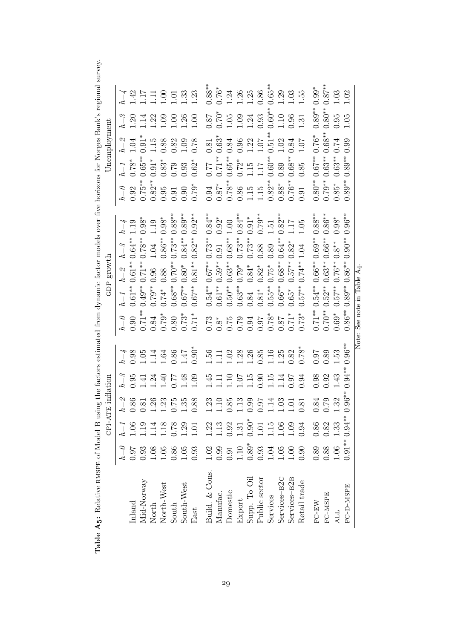Table A5: Relative RMSPE of Model B using the factors estimated from dynamic factor models over five horizons for Norges Bank's regional survey. Table A5: Relative RMSPE of Model B using the factors estimated from dynamic factor models over five horizons for Norges Bank's regional survey.

|                                                                                               |                                                     | $CPI-A$                                                                                                                                                                                                                                                                                                       | <b>TE</b> inflation                                                                                                                                                                                                                                                                                           |                 |                                                                                                                                                                                                                                                                                                               |                                                                                  | GDP growth                    |                                                                                                                                                                                                                                                                                                                                                                                               |             |                                                                                                    |                                                                                     | Unemployment                                                             |                                                                                                                                                                                                                                                                                                                |                                                                                                  |
|-----------------------------------------------------------------------------------------------|-----------------------------------------------------|---------------------------------------------------------------------------------------------------------------------------------------------------------------------------------------------------------------------------------------------------------------------------------------------------------------|---------------------------------------------------------------------------------------------------------------------------------------------------------------------------------------------------------------------------------------------------------------------------------------------------------------|-----------------|---------------------------------------------------------------------------------------------------------------------------------------------------------------------------------------------------------------------------------------------------------------------------------------------------------------|----------------------------------------------------------------------------------|-------------------------------|-----------------------------------------------------------------------------------------------------------------------------------------------------------------------------------------------------------------------------------------------------------------------------------------------------------------------------------------------------------------------------------------------|-------------|----------------------------------------------------------------------------------------------------|-------------------------------------------------------------------------------------|--------------------------------------------------------------------------|----------------------------------------------------------------------------------------------------------------------------------------------------------------------------------------------------------------------------------------------------------------------------------------------------------------|--------------------------------------------------------------------------------------------------|
|                                                                                               | $h{=}0$                                             | $h = 1$                                                                                                                                                                                                                                                                                                       | $h\!=\!\mathscr{Z}$                                                                                                                                                                                                                                                                                           | $h = \beta$     |                                                                                                                                                                                                                                                                                                               | $\ell\!=\!\theta$                                                                | $h\!=\!1$                     | $h = 3$                                                                                                                                                                                                                                                                                                                                                                                       | $h{=}4$     |                                                                                                    | $h = 1$                                                                             |                                                                          | $h = \beta$                                                                                                                                                                                                                                                                                                    |                                                                                                  |
| Inland                                                                                        | 16.0                                                |                                                                                                                                                                                                                                                                                                               | 0.86                                                                                                                                                                                                                                                                                                          | 0.95            |                                                                                                                                                                                                                                                                                                               | 0.90                                                                             | $0.61***$                     | $0.64***$<br>$\begin{array}{c} h=\mathcal{Z} \\ 0.61^{**} \\ 0.71^{**} \end{array}$                                                                                                                                                                                                                                                                                                           | 1.19        |                                                                                                    | $0.78*$                                                                             | $\begin{array}{c} h=2\ 1.04\ 0.91^* \end{array}$                         |                                                                                                                                                                                                                                                                                                                |                                                                                                  |
|                                                                                               |                                                     |                                                                                                                                                                                                                                                                                                               | 0.81                                                                                                                                                                                                                                                                                                          | $\ddot{=}$      |                                                                                                                                                                                                                                                                                                               |                                                                                  | $0.49**$                      | $0.78***$                                                                                                                                                                                                                                                                                                                                                                                     | $0.98*$     |                                                                                                    |                                                                                     |                                                                          |                                                                                                                                                                                                                                                                                                                |                                                                                                  |
| Mid-Norway<br>North                                                                           |                                                     |                                                                                                                                                                                                                                                                                                               |                                                                                                                                                                                                                                                                                                               | $\ddot{\Omega}$ |                                                                                                                                                                                                                                                                                                               |                                                                                  | $0.79**$                      | 1.04                                                                                                                                                                                                                                                                                                                                                                                          | 1.19        |                                                                                                    |                                                                                     |                                                                          |                                                                                                                                                                                                                                                                                                                |                                                                                                  |
|                                                                                               |                                                     |                                                                                                                                                                                                                                                                                                               |                                                                                                                                                                                                                                                                                                               |                 |                                                                                                                                                                                                                                                                                                               |                                                                                  | $0.74*$                       | $0.86***$                                                                                                                                                                                                                                                                                                                                                                                     | $0.98*$     |                                                                                                    |                                                                                     |                                                                          |                                                                                                                                                                                                                                                                                                                |                                                                                                  |
|                                                                                               |                                                     |                                                                                                                                                                                                                                                                                                               |                                                                                                                                                                                                                                                                                                               | 9778            |                                                                                                                                                                                                                                                                                                               |                                                                                  | $0.68^{**}$                   | $0.73**$<br>$\begin{array}{c} 0.96 \\ 0.88 \\ 0.70^{**} \\ 0.80^{**} \end{array}$                                                                                                                                                                                                                                                                                                             | $0.88***$   |                                                                                                    |                                                                                     |                                                                          |                                                                                                                                                                                                                                                                                                                |                                                                                                  |
|                                                                                               |                                                     |                                                                                                                                                                                                                                                                                                               | $\begin{array}{c} 1.26 \\ 1.23 \\ 0.75 \\ 0.88 \end{array}$                                                                                                                                                                                                                                                   |                 |                                                                                                                                                                                                                                                                                                               | $0.71**$<br>$0.84$<br>$0.879*$<br>$0.80$<br>$0.873*$<br>$0.73*$                  | $0.67***$                     | $0.84***$                                                                                                                                                                                                                                                                                                                                                                                     | $0.89^{**}$ |                                                                                                    |                                                                                     | $\begin{array}{c} 1.15 \\ 0.88 \\ 0.32 \\ 1.09 \\ 0.78 \end{array}$      |                                                                                                                                                                                                                                                                                                                | $h = 42$<br>1.42<br>1.1.1.00<br>1.33<br>1.31<br>1.31<br>1.31                                     |
| North-West<br>South<br>South-West<br>East                                                     |                                                     | $\begin{array}{c} 1.06 \\ 1.19 \\ 1.18 \\ 1.18 \\ 0.78 \\ 1.01 \\ 1.01 \\ 1.01 \\ 1.01 \\ 1.01 \\ 1.01 \\ 1.01 \\ 1.01 \\ 1.01 \\ 1.01 \\ 1.01 \\ 1.01 \\ 1.01 \\ 1.01 \\ 1.01 \\ 1.01 \\ 1.01 \\ 1.01 \\ 1.01 \\ 1.01 \\ 1.01 \\ 1.01 \\ 1.01 \\ 1.01 \\ 1.01 \\ 1.01 \\ 1.01 \\ 1.01 \\ 1.01 \\ 1.01 \\ 1.$ |                                                                                                                                                                                                                                                                                                               | $60$ .          | $h = 3$<br>$0.98$<br>$0.147$<br>$0.36$<br>$0.47$<br>$0.90$<br>$0.90$<br>$0.90$                                                                                                                                                                                                                                |                                                                                  | $0.67***$                     | $0.82**$<br>$0.81^{\ast\ast}$                                                                                                                                                                                                                                                                                                                                                                 | $0.92***$   | $h = 0$<br>$0.92$<br>$0.75**$<br>$0.82**$<br>$0.95$<br>$0.91$<br>$0.79*$                           | $0.65**$<br>$0.91**$<br>$0.83*$<br>$0.79$<br>$0.62*$                                |                                                                          | $\begin{array}{c} .20 \\ 0.14 \\ 0.20 \\ 0.00 \\ 0.00 \\ 0.00 \\ 0.00 \\ 0.00 \\ 0.00 \\ 0.00 \\ 0.00 \\ 0.00 \\ 0.00 \\ 0.00 \\ 0.00 \\ 0.00 \\ 0.00 \\ 0.00 \\ 0.00 \\ 0.00 \\ 0.00 \\ 0.00 \\ 0.00 \\ 0.00 \\ 0.00 \\ 0.00 \\ 0.00 \\ 0.00 \\ 0.00 \\ 0.00 \\ 0.00 \\ 0.00 \\ 0.00 \\ 0.00 \\ 0.00 \\ 0.00$ |                                                                                                  |
| Build. & Cons.                                                                                |                                                     | $\begin{array}{c} 1.22 \\ 1.13 \\ 0.92 \\ 1.31 \\ 0.90 \\ 1.11 \\ 0.01 \\ 1.11 \\ 0.09 \\ 0.94 \\ 0.03 \\ \end{array}$                                                                                                                                                                                        |                                                                                                                                                                                                                                                                                                               |                 |                                                                                                                                                                                                                                                                                                               |                                                                                  | $0.54***$                     | $0.73**$                                                                                                                                                                                                                                                                                                                                                                                      | $0.84***$   |                                                                                                    |                                                                                     | $0.81$<br>$0.63*$                                                        | $78.0\,$                                                                                                                                                                                                                                                                                                       |                                                                                                  |
| Manufac.                                                                                      |                                                     |                                                                                                                                                                                                                                                                                                               |                                                                                                                                                                                                                                                                                                               |                 |                                                                                                                                                                                                                                                                                                               |                                                                                  | $0.61***$                     | $0.91\,$                                                                                                                                                                                                                                                                                                                                                                                      | $0.92*$     |                                                                                                    |                                                                                     |                                                                          |                                                                                                                                                                                                                                                                                                                |                                                                                                  |
|                                                                                               |                                                     |                                                                                                                                                                                                                                                                                                               |                                                                                                                                                                                                                                                                                                               |                 |                                                                                                                                                                                                                                                                                                               |                                                                                  | $0.50***$                     | $0.68***$                                                                                                                                                                                                                                                                                                                                                                                     | $1.00\,$    |                                                                                                    |                                                                                     |                                                                          | $1.05$<br>$-1.05$                                                                                                                                                                                                                                                                                              |                                                                                                  |
| Domestic<br>Export                                                                            |                                                     |                                                                                                                                                                                                                                                                                                               |                                                                                                                                                                                                                                                                                                               |                 |                                                                                                                                                                                                                                                                                                               |                                                                                  | $0.63**$                      |                                                                                                                                                                                                                                                                                                                                                                                               | $0.84***$   |                                                                                                    |                                                                                     |                                                                          |                                                                                                                                                                                                                                                                                                                |                                                                                                  |
|                                                                                               |                                                     |                                                                                                                                                                                                                                                                                                               |                                                                                                                                                                                                                                                                                                               |                 |                                                                                                                                                                                                                                                                                                               |                                                                                  | 0.84                          | $\begin{array}{c} 0.73^{**} \\ 0.73^{**} \\ 0.88 \end{array}$                                                                                                                                                                                                                                                                                                                                 | $0.91*$     |                                                                                                    |                                                                                     | $\begin{array}{c} 0.84 \\ 0.96 \\ 1.22 \\ 1.07 \\ 0.51^{**} \end{array}$ |                                                                                                                                                                                                                                                                                                                |                                                                                                  |
|                                                                                               |                                                     |                                                                                                                                                                                                                                                                                                               |                                                                                                                                                                                                                                                                                                               |                 |                                                                                                                                                                                                                                                                                                               |                                                                                  | $0.81*$                       |                                                                                                                                                                                                                                                                                                                                                                                               | $0.79**$    |                                                                                                    |                                                                                     |                                                                          |                                                                                                                                                                                                                                                                                                                |                                                                                                  |
|                                                                                               |                                                     |                                                                                                                                                                                                                                                                                                               | $\begin{array}{c} 1.23 \\ 1.10 \\ 0.85 \\ 1.09 \\ 0.99 \\ 1.103 \\ 1.03 \\ 1.03 \\ 1.01 \\ 1.01 \\ 1.01 \\ 1.01 \\ 1.01 \\ 1.01 \\ 1.01 \\ 1.01 \\ 1.01 \\ 1.01 \\ 1.01 \\ 1.01 \\ 1.01 \\ 1.01 \\ 1.01 \\ 1.01 \\ 1.01 \\ 1.01 \\ 1.01 \\ 1.01 \\ 1.01 \\ 1.01 \\ 1.01 \\ 1.01 \\ 1.01 \\ 1.01 \\ 1.01 \\ 1$ |                 | $\begin{array}{c} 1.56 \\ 1.12 \\ 1.13 \\ 1.45 \\ 1.56 \\ 1.68 \\ 1.75 \\ 1.88 \\ 1.38 \\ 1.38 \\ 1.38 \\ 1.38 \\ 1.38 \\ 1.38 \\ 1.38 \\ 1.38 \\ 1.38 \\ 1.38 \\ 1.38 \\ 1.38 \\ 1.38 \\ 1.38 \\ 1.38 \\ 1.38 \\ 1.38 \\ 1.38 \\ 1.38 \\ 1.38 \\ 1.38 \\ 1.38 \\ 1.38 \\ 1.38 \\ 1.38 \\ 1.38 \\ 1.38 \\ 1.$ | $*17.0$<br>$78.7$<br>$*87.76$<br>$76.0$<br>$50.0$<br>$50.0$<br>$50.0$<br>$*87.0$ | $0.55***$                     | 0.89<br>$\begin{array}{l} 1 \\ 7 \\ 1 \\ 2 \\ 3 \\ 4 \\ 5 \\ 6 \\ 7 \\ 8 \\ 9 \\ 1 \\ 1 \\ 1 \\ 2 \\ 3 \\ 4 \\ 5 \\ 6 \\ 7 \\ 8 \\ 1 \\ 8 \\ 1 \\ 9 \\ 1 \\ 1 \\ 1 \\ 2 \\ 3 \\ 4 \\ 4 \\ 5 \\ 6 \\ 7 \\ 8 \\ 8 \\ 1 \\ 1 \\ 1 \\ 2 \\ 3 \\ 4 \\ 4 \\ 5 \\ 6 \\ 7 \\ 8 \\ 7 \\ 8 \\ 7 \\ 8 \\ 7 \\ 8 \\ 7 \\ 8 \\ 7 \\ 8 \\ 7 \\ 8 \\ 7 \\ 8 \\ 7 \\ 8 \\ 7 \\ 8 \\ 7 \\ 7 \\ 7 \\ 8 \\ 7 \\$ | 1.51        | $\begin{array}{c} 0.94 \\ 0.87^* \\ 0.78^{**} \\ 0.086 \\ 1.15 \\ 0.88^* \\ 0.88^* \\ \end{array}$ | $0.77$<br>$0.71**$<br>$0.65**$<br>$0.72*$<br>$1.17$<br>$1.17$<br>$1.17$<br>$0.60**$ |                                                                          | $\begin{array}{c} 1.09 \\ 1.24 \\ 0.93 \\ 1.10 \\ 0.10 \\ 1.10 \\ 0.96 \end{array}$                                                                                                                                                                                                                            | $0.88$<br>$0.76$<br>$0.74$<br>$0.86$<br>$0.86$<br>$0.89$<br>$0.89$<br>$0.39$<br>$0.55$<br>$0.55$ |
|                                                                                               |                                                     |                                                                                                                                                                                                                                                                                                               |                                                                                                                                                                                                                                                                                                               |                 |                                                                                                                                                                                                                                                                                                               |                                                                                  | $0.66***$                     | $0.64***$                                                                                                                                                                                                                                                                                                                                                                                     | $0.82**$    |                                                                                                    |                                                                                     | 1.02                                                                     |                                                                                                                                                                                                                                                                                                                |                                                                                                  |
|                                                                                               |                                                     |                                                                                                                                                                                                                                                                                                               |                                                                                                                                                                                                                                                                                                               |                 |                                                                                                                                                                                                                                                                                                               |                                                                                  | $0.65*$                       | $0.82*$                                                                                                                                                                                                                                                                                                                                                                                       | 117         | $0.76**$                                                                                           | $0.68***$                                                                           | $0.84\,$                                                                 |                                                                                                                                                                                                                                                                                                                |                                                                                                  |
| Supp. To Oil<br>Public sector<br>Services—B2C<br>Services—B2B<br>Services—B2B<br>Retail trade |                                                     |                                                                                                                                                                                                                                                                                                               | 0.81                                                                                                                                                                                                                                                                                                          | 0.94            | $0.78*$                                                                                                                                                                                                                                                                                                       | $0.73*$                                                                          | $0.57***$                     | 1.04                                                                                                                                                                                                                                                                                                                                                                                          | 1.05        | 0.91                                                                                               | 0.85                                                                                | 1.07                                                                     | $\frac{1}{3}$                                                                                                                                                                                                                                                                                                  |                                                                                                  |
| $\operatorname{FC-EW}$                                                                        | $\begin{array}{c} 0.89 \\ 0.88 \\ 1.06 \end{array}$ | $0.86$<br>$0.82$                                                                                                                                                                                                                                                                                              | 0.84                                                                                                                                                                                                                                                                                                          | 0.98            | <b>160</b>                                                                                                                                                                                                                                                                                                    | $0.71***$                                                                        | $0.54***$                     | $0.69**$<br>$0.66***$                                                                                                                                                                                                                                                                                                                                                                         | $0.88***$   | $0.80**$                                                                                           | $0.67***$                                                                           | $0.76*$                                                                  | $0.89**$                                                                                                                                                                                                                                                                                                       | $0.99*$                                                                                          |
| FC-MSPE                                                                                       |                                                     |                                                                                                                                                                                                                                                                                                               | 0.79                                                                                                                                                                                                                                                                                                          | 0.92            | $\frac{0.89}{1.53}$                                                                                                                                                                                                                                                                                           | $0.70^{**}$                                                                      | $0.52**$                      | $0.66**$<br>$0.63***$                                                                                                                                                                                                                                                                                                                                                                         | $0.86***$   | $0.79**$                                                                                           | $0.63***$                                                                           | $0.68***$                                                                | $0.80**$                                                                                                                                                                                                                                                                                                       |                                                                                                  |
| <b>ALL</b>                                                                                    |                                                     | 1.33                                                                                                                                                                                                                                                                                                          | 1.32                                                                                                                                                                                                                                                                                                          | 1.43            |                                                                                                                                                                                                                                                                                                               | $0.69*$                                                                          | $0.57***$                     | $0.8**$<br>$0.76**$                                                                                                                                                                                                                                                                                                                                                                           | $0.98*$     | $0.85*$                                                                                            | $0.63***$                                                                           | 0.74                                                                     | 0.95                                                                                                                                                                                                                                                                                                           | $\frac{0.87**}{1.03}$                                                                            |
| $FC-D-MSPE$                                                                                   |                                                     | $0.91**0.94**$                                                                                                                                                                                                                                                                                                | $0.96**$                                                                                                                                                                                                                                                                                                      | $0.94***$       | $0.96***$                                                                                                                                                                                                                                                                                                     | $0.86***$                                                                        | $0.89**$                      | $0.90***$<br>$0.86***$                                                                                                                                                                                                                                                                                                                                                                        | $0.96**$    | $0.89**$                                                                                           | $0.89**$                                                                            | 0.99                                                                     | 1.05                                                                                                                                                                                                                                                                                                           | 1.02                                                                                             |
|                                                                                               |                                                     |                                                                                                                                                                                                                                                                                                               |                                                                                                                                                                                                                                                                                                               |                 |                                                                                                                                                                                                                                                                                                               |                                                                                  | Note: See note in Table $A_4$ |                                                                                                                                                                                                                                                                                                                                                                                               |             |                                                                                                    |                                                                                     |                                                                          |                                                                                                                                                                                                                                                                                                                |                                                                                                  |